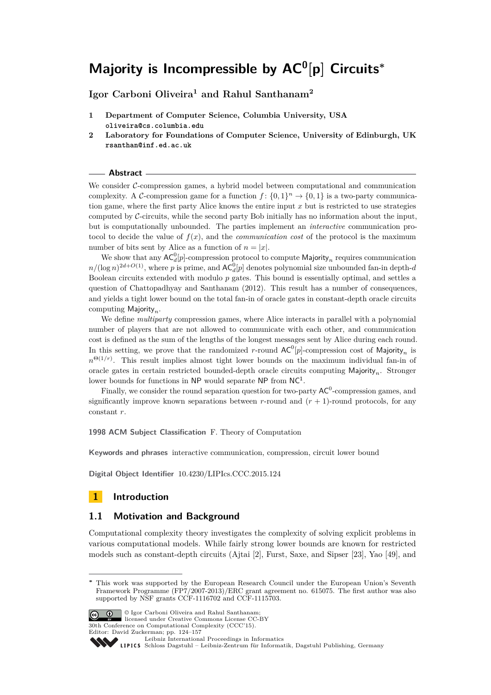**Igor Carboni Oliveira<sup>1</sup> and Rahul Santhanam<sup>2</sup>**

- **1 Department of Computer Science, Columbia University, USA oliveira@cs.columbia.edu**
- **2 Laboratory for Foundations of Computer Science, University of Edinburgh, UK rsanthan@inf.ed.ac.uk**

#### **Abstract**

We consider  $\mathcal{C}\text{-compression games}$ , a hybrid model between computational and communication complexity. A C-compression game for a function  $f: \{0,1\}^n \to \{0,1\}$  is a two-party communication game, where the first party Alice knows the entire input *x* but is restricted to use strategies computed by C-circuits, while the second party Bob initially has no information about the input, but is computationally unbounded. The parties implement an *interactive* communication protocol to decide the value of  $f(x)$ , and the *communication cost* of the protocol is the maximum number of bits sent by Alice as a function of  $n = |x|$ .

We show that any  $AC_d^0[p]$ -compression protocol to compute Majority<sub>n</sub> requires communication  $n/(\log n)^{2d+O(1)}$ , where *p* is prime, and  $AC_d^0[p]$  denotes polynomial size unbounded fan-in depth-*d* Boolean circuits extended with modulo *p* gates. This bound is essentially optimal, and settles a question of Chattopadhyay and Santhanam (2012). This result has a number of consequences, and yields a tight lower bound on the total fan-in of oracle gates in constant-depth oracle circuits computing Majority*n*.

We define *multiparty* compression games, where Alice interacts in parallel with a polynomial number of players that are not allowed to communicate with each other, and communication cost is defined as the sum of the lengths of the longest messages sent by Alice during each round. In this setting, we prove that the randomized *r*-round  $AC^0[p]$ -compression cost of Majority<sub>n</sub> is  $n^{\Theta(1/r)}$ . This result implies almost tight lower bounds on the maximum individual fan-in of oracle gates in certain restricted bounded-depth oracle circuits computing Majority*n*. Stronger lower bounds for functions in NP would separate NP from NC<sup>1</sup>.

Finally, we consider the round separation question for two-party  $AC^0$ -compression games, and significantly improve known separations between  $r$ -round and  $(r + 1)$ -round protocols, for any constant *r*.

**1998 ACM Subject Classification** F. Theory of Computation

**Keywords and phrases** interactive communication, compression, circuit lower bound

**Digital Object Identifier** [10.4230/LIPIcs.CCC.2015.124](http://dx.doi.org/10.4230/LIPIcs.CCC.2015.124)

### **1 Introduction**

### **1.1 Motivation and Background**

Computational complexity theory investigates the complexity of solving explicit problems in various computational models. While fairly strong lower bounds are known for restricted models such as constant-depth circuits (Ajtai [\[2\]](#page-27-0), Furst, Saxe, and Sipser [\[23\]](#page-28-0), Yao [\[49\]](#page-29-0), and

**<sup>∗</sup>** This work was supported by the European Research Council under the European Union's Seventh Framework Programme (FP7/2007-2013)/ERC grant agreement no. 615075. The first author was also supported by NSF grants CCF-1116702 and CCF-1115703.



<sup>©</sup> Igor Carboni Oliveira and Rahul Santhanam; licensed under Creative Commons License CC-BY 30th Conference on Computational Complexity (CCC'15). Editor: David Zuckerman; pp. 124[–157](#page-33-0)

[Leibniz International Proceedings in Informatics](http://www.dagstuhl.de/lipics/)

[Schloss Dagstuhl – Leibniz-Zentrum für Informatik, Dagstuhl Publishing, Germany](http://www.dagstuhl.de)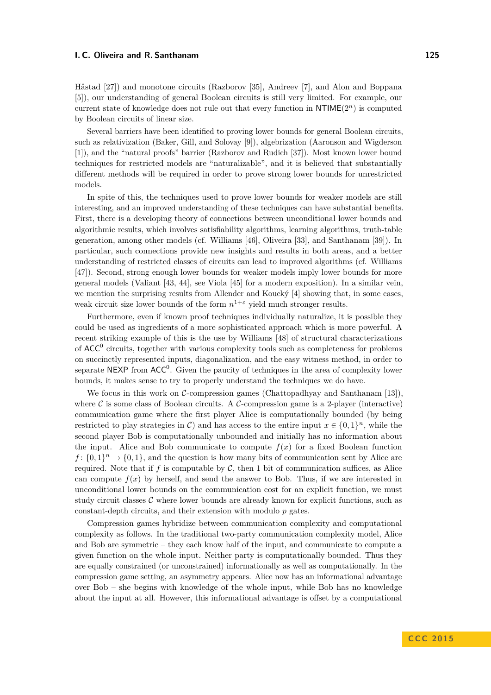Håstad [\[27\]](#page-29-1)) and monotone circuits (Razborov [\[35\]](#page-29-2), Andreev [\[7\]](#page-28-1), and Alon and Boppana [\[5\]](#page-28-2)), our understanding of general Boolean circuits is still very limited. For example, our current state of knowledge does not rule out that every function in  $NTIME(2^n)$  is computed by Boolean circuits of linear size.

Several barriers have been identified to proving lower bounds for general Boolean circuits, such as relativization (Baker, Gill, and Solovay [\[9\]](#page-28-3)), algebrization (Aaronson and Wigderson [\[1\]](#page-27-1)), and the "natural proofs" barrier (Razborov and Rudich [\[37\]](#page-29-3)). Most known lower bound techniques for restricted models are "naturalizable", and it is believed that substantially different methods will be required in order to prove strong lower bounds for unrestricted models.

In spite of this, the techniques used to prove lower bounds for weaker models are still interesting, and an improved understanding of these techniques can have substantial benefits. First, there is a developing theory of connections between unconditional lower bounds and algorithmic results, which involves satisfiability algorithms, learning algorithms, truth-table generation, among other models (cf. Williams [\[46\]](#page-29-4), Oliveira [\[33\]](#page-29-5), and Santhanam [\[39\]](#page-29-6)). In particular, such connections provide new insights and results in both areas, and a better understanding of restricted classes of circuits can lead to improved algorithms (cf. Williams [\[47\]](#page-29-7)). Second, strong enough lower bounds for weaker models imply lower bounds for more general models (Valiant [\[43,](#page-29-8) [44\]](#page-29-9), see Viola [\[45\]](#page-29-10) for a modern exposition). In a similar vein, we mention the surprising results from Allender and Koucký [\[4\]](#page-28-4) showing that, in some cases, weak circuit size lower bounds of the form  $n^{1+\epsilon}$  yield much stronger results.

Furthermore, even if known proof techniques individually naturalize, it is possible they could be used as ingredients of a more sophisticated approach which is more powerful. A recent striking example of this is the use by Williams [\[48\]](#page-29-11) of structural characterizations of  $ACC^0$  circuits, together with various complexity tools such as completeness for problems on succinctly represented inputs, diagonalization, and the easy witness method, in order to separate NEXP from  $ACC^0$ . Given the paucity of techniques in the area of complexity lower bounds, it makes sense to try to properly understand the techniques we do have.

We focus in this work on  $\mathcal{C}$ -compression games (Chattopadhyay and Santhanam [\[13\]](#page-28-5)), where  $\mathcal C$  is some class of Boolean circuits. A  $\mathcal C$ -compression game is a 2-player (interactive) communication game where the first player Alice is computationally bounded (by being restricted to play strategies in C) and has access to the entire input  $x \in \{0,1\}^n$ , while the second player Bob is computationally unbounded and initially has no information about the input. Alice and Bob communicate to compute  $f(x)$  for a fixed Boolean function  $f: \{0,1\}^n \to \{0,1\}$ , and the question is how many bits of communication sent by Alice are required. Note that if  $f$  is computable by  $\mathcal{C}$ , then 1 bit of communication suffices, as Alice can compute  $f(x)$  by herself, and send the answer to Bob. Thus, if we are interested in unconditional lower bounds on the communication cost for an explicit function, we must study circuit classes  $C$  where lower bounds are already known for explicit functions, such as constant-depth circuits, and their extension with modulo *p* gates.

Compression games hybridize between communication complexity and computational complexity as follows. In the traditional two-party communication complexity model, Alice and Bob are symmetric – they each know half of the input, and communicate to compute a given function on the whole input. Neither party is computationally bounded. Thus they are equally constrained (or unconstrained) informationally as well as computationally. In the compression game setting, an asymmetry appears. Alice now has an informational advantage over Bob – she begins with knowledge of the whole input, while Bob has no knowledge about the input at all. However, this informational advantage is offset by a computational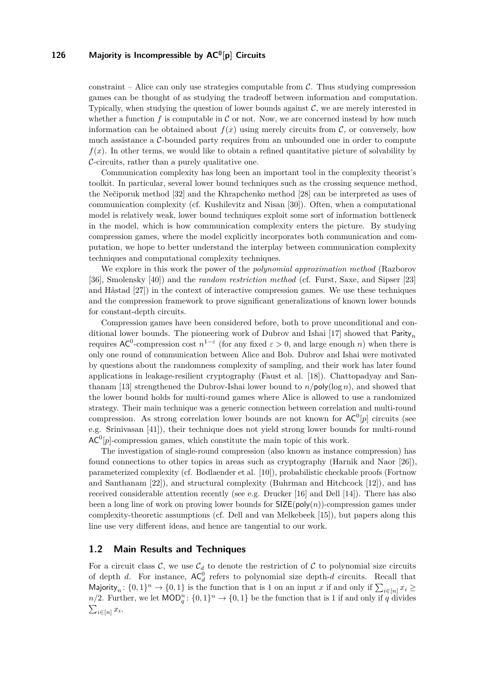constraint – Alice can only use strategies computable from  $\mathcal{C}$ . Thus studying compression games can be thought of as studying the tradeoff between information and computation. Typically, when studying the question of lower bounds against  $\mathcal{C}$ , we are merely interested in whether a function  $f$  is computable in  $\mathcal C$  or not. Now, we are concerned instead by how much information can be obtained about  $f(x)$  using merely circuits from  $\mathcal{C}$ , or conversely, how much assistance a  $C$ -bounded party requires from an unbounded one in order to compute  $f(x)$ . In other terms, we would like to obtain a refined quantitative picture of solvability by  $\mathcal{C}$ -circuits, rather than a purely qualitative one.

Communication complexity has long been an important tool in the complexity theorist's toolkit. In particular, several lower bound techniques such as the crossing sequence method, the Nečiporuk method [\[32\]](#page-29-12) and the Khrapchenko method [\[28\]](#page-29-13) can be interpreted as uses of communication complexity (cf. Kushilevitz and Nisan [\[30\]](#page-29-14)). Often, when a computational model is relatively weak, lower bound techniques exploit some sort of information bottleneck in the model, which is how communication complexity enters the picture. By studying compression games, where the model explicitly incorporates both communication and computation, we hope to better understand the interplay between communication complexity techniques and computational complexity techniques.

We explore in this work the power of the *polynomial approximation method* (Razborov [\[36\]](#page-29-15), Smolensky [\[40\]](#page-29-16)) and the *random restriction method* (cf. Furst, Saxe, and Sipser [\[23\]](#page-28-0) and Håstad [\[27\]](#page-29-1)) in the context of interactive compression games. We use these techniques and the compression framework to prove significant generalizations of known lower bounds for constant-depth circuits.

Compression games have been considered before, both to prove unconditional and conditional lower bounds. The pioneering work of Dubrov and Ishai [\[17\]](#page-28-6) showed that Parity*<sup>n</sup>* requires  $AC^0$ -compression cost  $n^{1-\epsilon}$  (for any fixed  $\varepsilon > 0$ , and large enough *n*) when there is only one round of communication between Alice and Bob. Dubrov and Ishai were motivated by questions about the randomness complexity of sampling, and their work has later found applications in leakage-resilient cryptography (Faust et al. [\[18\]](#page-28-7)). Chattopadyay and San-thanam [\[13\]](#page-28-5) strengthened the Dubrov-Ishai lower bound to  $n/poly(\log n)$ , and showed that the lower bound holds for multi-round games where Alice is allowed to use a randomized strategy. Their main technique was a generic connection between correlation and multi-round compression. As strong correlation lower bounds are not known for  $AC^0[p]$  circuits (see e.g. Srinivasan [\[41\]](#page-29-17)), their technique does not yield strong lower bounds for multi-round  $AC^0[p]$ -compression games, which constitute the main topic of this work.

The investigation of single-round compression (also known as instance compression) has found connections to other topics in areas such as cryptography (Harnik and Naor [\[26\]](#page-29-18)), parameterized complexity (cf. Bodlaender et al. [\[10\]](#page-28-8)), probabilistic checkable proofs (Fortnow and Santhanam [\[22\]](#page-28-9)), and structural complexity (Buhrman and Hitchcock [\[12\]](#page-28-10)), and has received considerable attention recently (see e.g. Drucker [\[16\]](#page-28-11) and Dell [\[14\]](#page-28-12)). There has also been a long line of work on proving lower bounds for  $SIZE(poly(n))$ -compression games under complexity-theoretic assumptions (cf. Dell and van Melkebeek [\[15\]](#page-28-13)), but papers along this line use very different ideas, and hence are tangential to our work.

### **1.2 Main Results and Techniques**

For a circuit class  $\mathcal{C}$ , we use  $\mathcal{C}_d$  to denote the restriction of  $\mathcal{C}$  to polynomial size circuits of depth *d*. For instance,  $AC_d^0$  refers to polynomial size depth-*d* circuits. Recall that Majority<sub>n</sub>:  $\{0,1\}$ <sup>n</sup>  $\rightarrow$   $\{0,1\}$  is the function that is 1 on an input *x* if and only if  $\sum_{i\in[n]} x_i \geq$ *n/*2. Further, we let  $\text{MOD}_q^n: \{0,1\}^n \to \{0,1\}$  be the function that is 1 if and only if *q* divides  $\sum_{i\in[n]}x_i$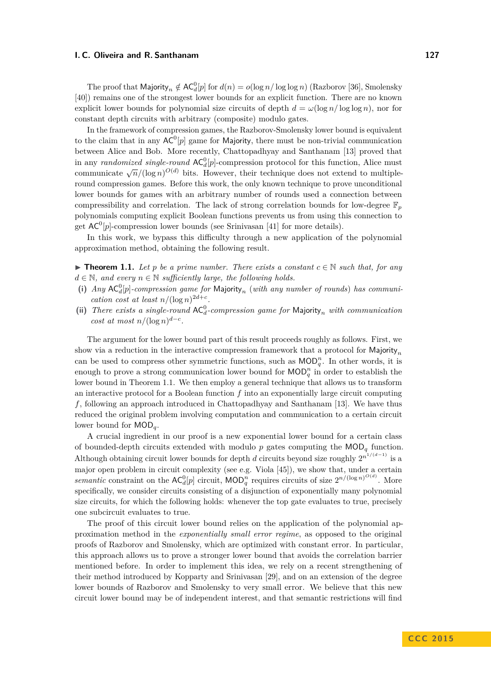The proof that  $\textsf{Majority}_n \notin \mathsf{AC}_d^0[p]$  for  $d(n) = o(\log n / \log \log n)$  (Razborov [\[36\]](#page-29-15), Smolensky [\[40\]](#page-29-16)) remains one of the strongest lower bounds for an explicit function. There are no known explicit lower bounds for polynomial size circuits of depth  $d = \omega(\log n / \log \log n)$ , nor for constant depth circuits with arbitrary (composite) modulo gates.

In the framework of compression games, the Razborov-Smolensky lower bound is equivalent to the claim that in any  $AC^0[p]$  game for Majority, there must be non-trivial communication between Alice and Bob. More recently, Chattopadhyay and Santhanam [\[13\]](#page-28-5) proved that in any *randomized single-round*  $AC_d^0[p]$ -compression protocol for this function, Alice must  $\lim_{n \to \infty} \frac{d^n}{n}$  (log *n*)<sup> $O(d)$ </sup> bits. However, their technique does not extend to multipleround compression games. Before this work, the only known technique to prove unconditional lower bounds for games with an arbitrary number of rounds used a connection between compressibility and correlation. The lack of strong correlation bounds for low-degree  $\mathbb{F}_p$ polynomials computing explicit Boolean functions prevents us from using this connection to get  $AC^0[p]$ -compression lower bounds (see Srinivasan [\[41\]](#page-29-17) for more details).

In this work, we bypass this difficulty through a new application of the polynomial approximation method, obtaining the following result.

<span id="page-3-0"></span>**► Theorem 1.1.** Let *p* be a prime number. There exists a constant  $c \in \mathbb{N}$  such that, for any  $d \in \mathbb{N}$ , and every  $n \in \mathbb{N}$  sufficiently large, the following holds.

- (i)  $Any AC<sub>d</sub><sup>0</sup>[p]$ -compression game for Majority<sub>n</sub> (with any number of rounds) has communi*cation cost at least*  $n/(\log n)^{2d+c}$ .
- (ii) There exists a single-round  $AC_d^0$ -compression game for Majority<sub>n</sub> with communication *cost at most*  $n/(\log n)^{d-c}$ .

The argument for the lower bound part of this result proceeds roughly as follows. First, we show via a reduction in the interactive compression framework that a protocol for Majority*<sup>n</sup>* can be used to compress other symmetric functions, such as  $\text{MOD}_q^n$ . In other words, it is enough to prove a strong communication lower bound for  $\text{MOD}_q^n$  in order to establish the lower bound in Theorem [1.1.](#page-3-0) We then employ a general technique that allows us to transform an interactive protocol for a Boolean function *f* into an exponentially large circuit computing *f*, following an approach introduced in Chattopadhyay and Santhanam [\[13\]](#page-28-5). We have thus reduced the original problem involving computation and communication to a certain circuit lower bound for MOD*q*.

A crucial ingredient in our proof is a new exponential lower bound for a certain class of bounded-depth circuits extended with modulo  $p$  gates computing the  $\text{MOD}_q$  function. Although obtaining circuit lower bounds for depth *d* circuits beyond size roughly  $2^{n^{1/(d-1)}}$  is a major open problem in circuit complexity (see e.g. Viola [\[45\]](#page-29-10)), we show that, under a certain *semantic* constraint on the  $AC_d^0[p]$  circuit,  $MOD_q^n$  requires circuits of size  $2^{n/(\log n)^{O(d)}}$ . More specifically, we consider circuits consisting of a disjunction of exponentially many polynomial size circuits, for which the following holds: whenever the top gate evaluates to true, precisely one subcircuit evaluates to true.

The proof of this circuit lower bound relies on the application of the polynomial approximation method in the *exponentially small error regime*, as opposed to the original proofs of Razborov and Smolensky, which are optimized with constant error. In particular, this approach allows us to prove a stronger lower bound that avoids the correlation barrier mentioned before. In order to implement this idea, we rely on a recent strengthening of their method introduced by Kopparty and Srinivasan [\[29\]](#page-29-19), and on an extension of the degree lower bounds of Razborov and Smolensky to very small error. We believe that this new circuit lower bound may be of independent interest, and that semantic restrictions will find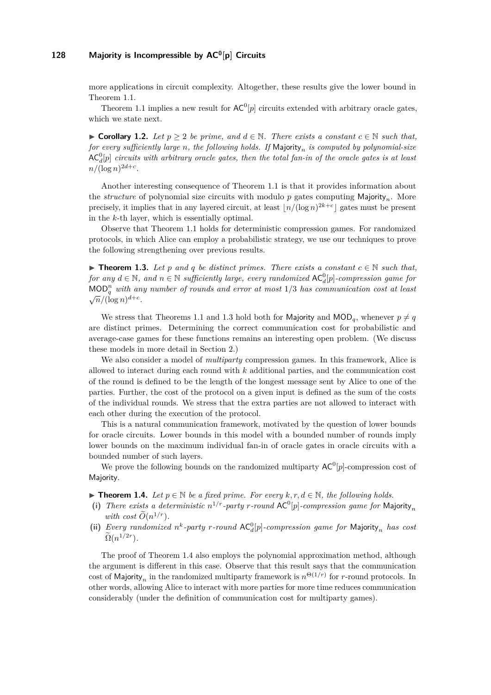more applications in circuit complexity. Altogether, these results give the lower bound in Theorem [1.1.](#page-3-0)

Theorem [1.1](#page-3-0) implies a new result for  $AC^0[p]$  circuits extended with arbitrary oracle gates, which we state next.

▶ Corollary 1.2. Let  $p \geq 2$  be prime, and  $d \in \mathbb{N}$ . There exists a constant  $c \in \mathbb{N}$  such that, *for every sufficiently large n, the following holds. If* Majority*<sup>n</sup> is computed by polynomial-size*  $\mathsf{AC}^0_d[p]$  *circuits with arbitrary oracle gates, then the total fan-in of the oracle gates is at least*  $n/(\log n)^{2d+c}$ .

Another interesting consequence of Theorem [1.1](#page-3-0) is that it provides information about the *structure* of polynomial size circuits with modulo *p* gates computing Majority*n*. More precisely, it implies that in any layered circuit, at least  $\lfloor n/(\log n)^{2k+c} \rfloor$  gates must be present in the *k*-th layer, which is essentially optimal.

Observe that Theorem [1.1](#page-3-0) holds for deterministic compression games. For randomized protocols, in which Alice can employ a probabilistic strategy, we use our techniques to prove the following strengthening over previous results.

<span id="page-4-0"></span>▶ **Theorem 1.3.** Let *p* and *q* be distinct primes. There exists a constant  $c \in \mathbb{N}$  such that,  $for any d \in \mathbb{N}$ , and  $n \in \mathbb{N}$  sufficiently large, every randomized  $AC_d^0[p]$ -compression game for MOD*<sup>n</sup> <sup>q</sup> with any number of rounds and error at most* 1*/*3 *has communication cost at least*  $\sqrt{n}/(\log n)^{d+c}$ .

We stress that Theorems [1.1](#page-3-0) and [1.3](#page-4-0) hold both for Majority and  $\text{MOD}_q$ , whenever  $p \neq q$ are distinct primes. Determining the correct communication cost for probabilistic and average-case games for these functions remains an interesting open problem. (We discuss these models in more detail in Section [2.](#page-6-0))

We also consider a model of *multiparty* compression games. In this framework, Alice is allowed to interact during each round with *k* additional parties, and the communication cost of the round is defined to be the length of the longest message sent by Alice to one of the parties. Further, the cost of the protocol on a given input is defined as the sum of the costs of the individual rounds. We stress that the extra parties are not allowed to interact with each other during the execution of the protocol.

This is a natural communication framework, motivated by the question of lower bounds for oracle circuits. Lower bounds in this model with a bounded number of rounds imply lower bounds on the maximum individual fan-in of oracle gates in oracle circuits with a bounded number of such layers.

We prove the following bounds on the randomized multiparty  $AC^0[p]$ -compression cost of Majority.

<span id="page-4-1"></span>▶ **Theorem 1.4.** *Let*  $p \in \mathbb{N}$  *be a fixed prime. For every*  $k, r, d \in \mathbb{N}$ *, the following holds.* 

- (i) There exists a deterministic  $n^{1/r}$ -party r-round  $AC^0[p]$ -compression game for Majority<sub>n</sub> *with cost*  $\widetilde{O}(n^{1/r})$ *.*
- (ii) *Every randomized*  $n^k$ -party *r*-round  $AC_d^0[p]$ -compression game for Majority<sub>n</sub> has cost  $\tilde{\Omega}(n^{1/2r}).$

The proof of Theorem [1.4](#page-4-1) also employs the polynomial approximation method, although the argument is different in this case. Observe that this result says that the communication cost of Majority<sub>n</sub> in the randomized multiparty framework is  $n^{\Theta(1/r)}$  for *r*-round protocols. In other words, allowing Alice to interact with more parties for more time reduces communication considerably (under the definition of communication cost for multiparty games).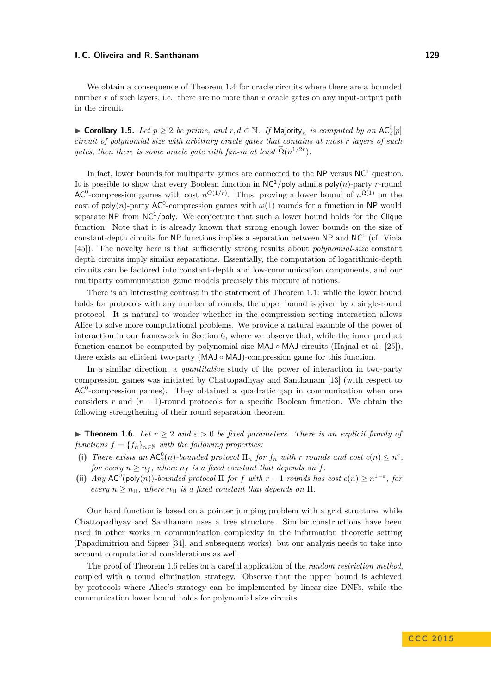We obtain a consequence of Theorem [1.4](#page-4-1) for oracle circuits where there are a bounded number *r* of such layers, i.e., there are no more than *r* oracle gates on any input-output path in the circuit.

► Corollary 1.5. Let  $p \geq 2$  be prime, and  $r, d \in \mathbb{N}$ . If Majority<sub>n</sub> is computed by an  $AC_d^0[p]$ *circuit of polynomial size with arbitrary oracle gates that contains at most r layers of such gates, then there is some oracle gate with fan-in at least*  $\Omega(n^{1/2r})$ .

In fact, lower bounds for multiparty games are connected to the NP versus  $NC<sup>1</sup>$  question. It is possible to show that every Boolean function in  $NC^1/poly$  admits  $poly(n)$ -party *r*-round AC<sup>0</sup>-compression games with cost  $n^{O(1/r)}$ . Thus, proving a lower bound of  $n^{\Omega(1)}$  on the cost of poly(*n*)-party AC<sup>0</sup>-compression games with  $\omega(1)$  rounds for a function in NP would separate NP from  $NC<sup>1</sup>/poly$ . We conjecture that such a lower bound holds for the Clique function. Note that it is already known that strong enough lower bounds on the size of constant-depth circuits for NP functions implies a separation between  $NP$  and  $NC<sup>1</sup>$  (cf. Viola [\[45\]](#page-29-10)). The novelty here is that sufficiently strong results about *polynomial-size* constant depth circuits imply similar separations. Essentially, the computation of logarithmic-depth circuits can be factored into constant-depth and low-communication components, and our multiparty communication game models precisely this mixture of notions.

There is an interesting contrast in the statement of Theorem [1.1:](#page-3-0) while the lower bound holds for protocols with any number of rounds, the upper bound is given by a single-round protocol. It is natural to wonder whether in the compression setting interaction allows Alice to solve more computational problems. We provide a natural example of the power of interaction in our framework in Section [6,](#page-21-0) where we observe that, while the inner product function cannot be computed by polynomial size  $MAJ \circ MAJ$  circuits (Hajnal et al. [\[25\]](#page-28-14)), there exists an efficient two-party (MAJ ◦ MAJ)-compression game for this function.

In a similar direction, a *quantitative* study of the power of interaction in two-party compression games was initiated by Chattopadhyay and Santhanam [\[13\]](#page-28-5) (with respect to  $AC<sup>0</sup>$ -compression games). They obtained a quadratic gap in communication when one considers *r* and  $(r - 1)$ -round protocols for a specific Boolean function. We obtain the following strengthening of their round separation theorem.

<span id="page-5-0"></span>**► Theorem 1.6.** Let  $r \geq 2$  and  $\varepsilon > 0$  be fixed parameters. There is an explicit family of *functions*  $f = \{f_n\}_{n \in \mathbb{N}}$  *with the following properties:* 

- (i) There exists an  $AC_2^0(n)$ -bounded protocol  $\Pi_n$  for  $f_n$  with  $r$  rounds and cost  $c(n) \leq n^{\varepsilon}$ , *for every*  $n \geq n_f$ , where  $n_f$  *is a fixed constant that depends on f.*
- (ii) *Any*  $AC^0(\text{poly}(n))$ *-bounded protocol*  $\Pi$  *for*  $f$  *with*  $r 1$  *rounds has cost*  $c(n) \geq n^{1-\epsilon}$ , for *every*  $n \geq n_{\Pi}$ , where  $n_{\Pi}$  *is a fixed constant that depends on*  $\Pi$ .

Our hard function is based on a pointer jumping problem with a grid structure, while Chattopadhyay and Santhanam uses a tree structure. Similar constructions have been used in other works in communication complexity in the information theoretic setting (Papadimitriou and Sipser [\[34\]](#page-29-20), and subsequent works), but our analysis needs to take into account computational considerations as well.

The proof of Theorem [1.6](#page-5-0) relies on a careful application of the *random restriction method*, coupled with a round elimination strategy. Observe that the upper bound is achieved by protocols where Alice's strategy can be implemented by linear-size DNFs, while the communication lower bound holds for polynomial size circuits.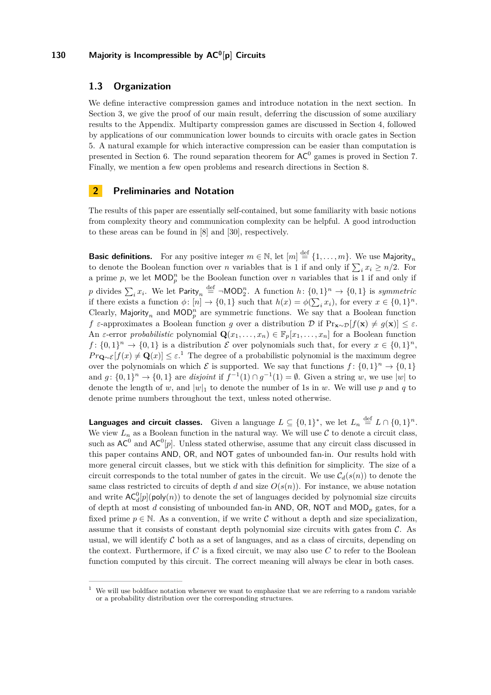### **1.3 Organization**

We define interactive compression games and introduce notation in the next section. In Section [3,](#page-9-0) we give the proof of our main result, deferring the discussion of some auxiliary results to the Appendix. Multiparty compression games are discussed in Section [4,](#page-14-0) followed by applications of our communication lower bounds to circuits with oracle gates in Section [5.](#page-18-0) A natural example for which interactive compression can be easier than computation is presented in Section [6.](#page-21-0) The round separation theorem for  $AC^0$  games is proved in Section [7.](#page-22-0) Finally, we mention a few open problems and research directions in Section [8.](#page-27-2)

### <span id="page-6-0"></span>**2 Preliminaries and Notation**

The results of this paper are essentially self-contained, but some familiarity with basic notions from complexity theory and communication complexity can be helpful. A good introduction to these areas can be found in [\[8\]](#page-28-15) and [\[30\]](#page-29-14), respectively.

**Basic definitions.** For any positive integer  $m \in \mathbb{N}$ , let  $[m] \stackrel{\text{def}}{=} \{1, \ldots, m\}$ . We use Majority<sub>n</sub> to denote the Boolean function over *n* variables that is 1 if and only if  $\sum_{i} x_i \geq n/2$ . For a prime p, we let  $\text{MOD}_p^n$  be the Boolean function over *n* variables that is 1 if and only if p divides  $\sum_{i} x_{i}$ . We let  $\textsf{Parity}_{n} \stackrel{\text{def}}{=} \neg \textsf{MOD}_{2}^{n}$ . A function  $h: \{0,1\}^{n} \to \{0,1\}$  is *symmetric* if there exists a function  $\phi$ :  $[n] \to \{0, 1\}$  such that  $h(x) = \phi(\sum_i x_i)$ , for every  $x \in \{0, 1\}^n$ . Clearly, Majority<sub>n</sub> and MOD<sub>p</sub><sup>n</sup></sub> are symmetric functions. We say that a Boolean function *f*  $\varepsilon$ -approximates a Boolean function *g* over a distribution D if  $Pr_{\mathbf{x} \sim \mathcal{D}}[f(\mathbf{x}) \neq g(\mathbf{x})] \leq \varepsilon$ . An *ε*-error *probabilistic* polynomial  $\mathbf{Q}(x_1, \ldots, x_n) \in \mathbb{F}_p[x_1, \ldots, x_n]$  for a Boolean function  $f: \{0,1\}^n \to \{0,1\}$  is a distribution  $\mathcal E$  over polynomials such that, for every  $x \in \{0,1\}^n$ , *Pr***Q**∼ $\mathcal{E}[f(x) \neq \mathbf{Q}(x)]$  ≤  $\varepsilon$ .<sup>[1](#page-6-1)</sup> The degree of a probabilistic polynomial is the maximum degree over the polynomials on which  $\mathcal E$  is supported. We say that functions  $f: \{0,1\}^n \to \{0,1\}$ and  $g: \{0,1\}^n \to \{0,1\}$  are *disjoint* if  $f^{-1}(1) \cap g^{-1}(1) = \emptyset$ . Given a string w, we use |w| to denote the length of *w*, and  $|w|_1$  to denote the number of 1s in *w*. We will use *p* and *q* to denote prime numbers throughout the text, unless noted otherwise.

**Languages and circuit classes.** Given a language  $L \subseteq \{0,1\}^*$ , we let  $L_n \stackrel{\text{def}}{=} L \cap \{0,1\}^n$ . We view  $L_n$  as a Boolean function in the natural way. We will use  $\mathcal C$  to denote a circuit class, such as  $AC^0$  and  $AC^0[p]$ . Unless stated otherwise, assume that any circuit class discussed in this paper contains AND, OR, and NOT gates of unbounded fan-in. Our results hold with more general circuit classes, but we stick with this definition for simplicity. The size of a circuit corresponds to the total number of gates in the circuit. We use  $C_d(s(n))$  to denote the same class restricted to circuits of depth *d* and size  $O(s(n))$ . For instance, we abuse notation and write  $AC_d^0[p](\text{poly}(n))$  to denote the set of languages decided by polynomial size circuits of depth at most *d* consisting of unbounded fan-in AND, OR, NOT and MOD*<sup>p</sup>* gates, for a fixed prime  $p \in \mathbb{N}$ . As a convention, if we write C without a depth and size specialization, assume that it consists of constant depth polynomial size circuits with gates from  $\mathcal{C}$ . As usual, we will identify  $C$  both as a set of languages, and as a class of circuits, depending on the context. Furthermore, if *C* is a fixed circuit, we may also use *C* to refer to the Boolean function computed by this circuit. The correct meaning will always be clear in both cases.

<span id="page-6-1"></span><sup>&</sup>lt;sup>1</sup> We will use boldface notation whenever we want to emphasize that we are referring to a random variable or a probability distribution over the corresponding structures.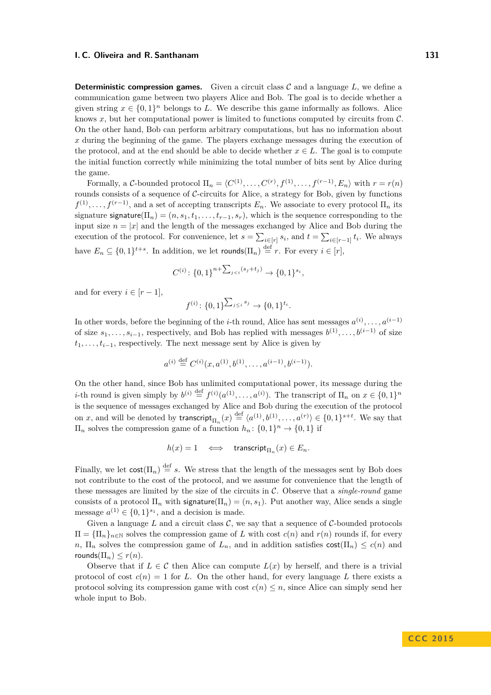**Deterministic compression games.** Given a circuit class  $C$  and a language  $L$ , we define a communication game between two players Alice and Bob. The goal is to decide whether a given string  $x \in \{0,1\}^n$  belongs to *L*. We describe this game informally as follows. Alice knows  $x$ , but her computational power is limited to functions computed by circuits from  $\mathcal{C}$ . On the other hand, Bob can perform arbitrary computations, but has no information about *x* during the beginning of the game. The players exchange messages during the execution of the protocol, and at the end should be able to decide whether  $x \in L$ . The goal is to compute the initial function correctly while minimizing the total number of bits sent by Alice during the game.

Formally, a C-bounded protocol  $\Pi_n = \langle C^{(1)}, \ldots, C^{(r)}, f^{(1)}, \ldots, f^{(r-1)}, E_n \rangle$  with  $r = r(n)$ rounds consists of a sequence of  $C$ -circuits for Alice, a strategy for Bob, given by functions  $f^{(1)}, \ldots, f^{(r-1)}$ , and a set of accepting transcripts  $E_n$ . We associate to every protocol  $\Pi_n$  its signature signature( $\Pi_n$ ) =  $(n, s_1, t_1, \ldots, t_{r-1}, s_r)$ , which is the sequence corresponding to the input size  $n = |x|$  and the length of the messages exchanged by Alice and Bob during the execution of the protocol. For convenience, let  $s = \sum_{i \in [r]} s_i$ , and  $t = \sum_{i \in [r-1]} t_i$ . We always have  $E_n \subseteq \{0,1\}^{t+s}$ . In addition, we let rounds $(\Pi_n) \stackrel{\text{def}}{=} r$ . For every  $i \in [r]$ ,

$$
C^{(i)}: \{0,1\}^{n+\sum_{j
$$

and for every  $i \in [r-1]$ ,

$$
f^{(i)}\colon \{0,1\}^{\sum_{j\leq i} s_j} \to \{0,1\}^{t_i}.
$$

In other words, before the beginning of the *i*-th round, Alice has sent messages  $a^{(i)}, \ldots, a^{(i-1)}$ of size  $s_1, \ldots, s_{i-1}$ , respectively, and Bob has replied with messages  $b^{(1)}, \ldots, b^{(i-1)}$  of size  $t_1, \ldots, t_{i-1}$ , respectively. The next message sent by Alice is given by

$$
a^{(i)} \stackrel{\text{def}}{=} C^{(i)}(x, a^{(1)}, b^{(1)}, \dots, a^{(i-1)}, b^{(i-1)}).
$$

On the other hand, since Bob has unlimited computational power, its message during the *i*-th round is given simply by  $b^{(i)} \stackrel{\text{def}}{=} f^{(i)}(a^{(1)}, \ldots, a^{(i)})$ . The transcript of  $\Pi_n$  on  $x \in \{0, 1\}^n$ is the sequence of messages exchanged by Alice and Bob during the execution of the protocol on *x*, and will be denoted by transcript<sub> $\Pi_n$ </sub> (*x*)  $\stackrel{\text{def}}{=} \langle a^{(1)}, b^{(1)}, \ldots, a^{(r)} \rangle \in \{0, 1\}^{s+t}$ . We say that  $\Pi_n$  solves the compression game of a function  $h_n: \{0,1\}^n \to \{0,1\}$  if

$$
h(x) = 1 \quad \Longleftrightarrow \quad \mathsf{transcript}_{\Pi_n}(x) \in E_n.
$$

Finally, we let  $\text{cost}(\Pi_n) \stackrel{\text{def}}{=} s$ . We stress that the length of the messages sent by Bob does not contribute to the cost of the protocol, and we assume for convenience that the length of these messages are limited by the size of the circuits in C. Observe that a *single-round* game consists of a protocol  $\Pi_n$  with signature( $\Pi_n$ ) =  $(n, s_1)$ . Put another way, Alice sends a single message  $a^{(1)} \in \{0,1\}^{s_1}$ , and a decision is made.

Given a language L and a circuit class  $\mathcal{C}$ , we say that a sequence of  $\mathcal{C}$ -bounded protocols  $\Pi = {\Pi_n}_{n \in \mathbb{N}}$  solves the compression game of *L* with cost  $c(n)$  and  $r(n)$  rounds if, for every *n*,  $\Pi_n$  solves the compression game of  $L_n$ , and in addition satisfies  $cost(\Pi_n) \leq c(n)$  and  $r$ ounds $(\Pi_n) \leq r(n)$ .

Observe that if  $L \in \mathcal{C}$  then Alice can compute  $L(x)$  by herself, and there is a trivial protocol of cost  $c(n) = 1$  for *L*. On the other hand, for every language *L* there exists a protocol solving its compression game with cost  $c(n) \leq n$ , since Alice can simply send her whole input to Bob.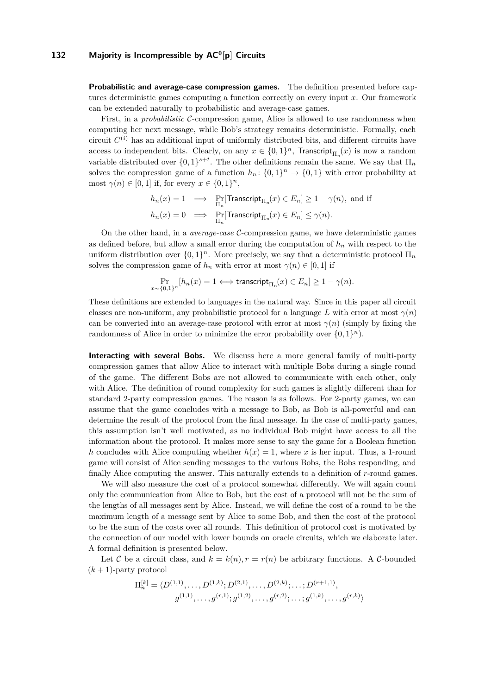**Probabilistic and average-case compression games.** The definition presented before captures deterministic games computing a function correctly on every input *x*. Our framework can be extended naturally to probabilistic and average-case games.

First, in a *probabilistic* C-compression game, Alice is allowed to use randomness when computing her next message, while Bob's strategy remains deterministic. Formally, each circuit  $C^{(i)}$  has an additional input of uniformly distributed bits, and different circuits have access to independent bits. Clearly, on any  $x \in \{0,1\}^n$ , Transcript<sub> $\Pi_n(x)$ </sub> is now a random variable distributed over  $\{0,1\}^{s+t}$ . The other definitions remain the same. We say that  $\Pi_n$ solves the compression game of a function  $h_n: \{0,1\}^n \to \{0,1\}$  with error probability at most  $\gamma(n) \in [0, 1]$  if, for every  $x \in \{0, 1\}^n$ ,

$$
h_n(x) = 1 \implies \Pr_{\Pi_n}[\text{Transcript}_{\Pi_n}(x) \in E_n] \ge 1 - \gamma(n), \text{ and if}
$$
  

$$
h_n(x) = 0 \implies \Pr_{\Pi_n}[\text{Transcript}_{\Pi_n}(x) \in E_n] \le \gamma(n).
$$

On the other hand, in a *average-case* C-compression game, we have deterministic games as defined before, but allow a small error during the computation of  $h_n$  with respect to the uniform distribution over  $\{0,1\}^n$ . More precisely, we say that a deterministic protocol  $\Pi_n$ solves the compression game of  $h_n$  with error at most  $\gamma(n) \in [0,1]$  if

$$
\Pr_{x \sim \{0,1\}^n} [h_n(x) = 1 \Longleftrightarrow \text{transcript}_{\Pi_n}(x) \in E_n] \ge 1 - \gamma(n).
$$

These definitions are extended to languages in the natural way. Since in this paper all circuit classes are non-uniform, any probabilistic protocol for a language L with error at most  $\gamma(n)$ can be converted into an average-case protocol with error at most  $\gamma(n)$  (simply by fixing the randomness of Alice in order to minimize the error probability over  $\{0,1\}^n$ ).

**Interacting with several Bobs.** We discuss here a more general family of multi-party compression games that allow Alice to interact with multiple Bobs during a single round of the game. The different Bobs are not allowed to communicate with each other, only with Alice. The definition of round complexity for such games is slightly different than for standard 2-party compression games. The reason is as follows. For 2-party games, we can assume that the game concludes with a message to Bob, as Bob is all-powerful and can determine the result of the protocol from the final message. In the case of multi-party games, this assumption isn't well motivated, as no individual Bob might have access to all the information about the protocol. It makes more sense to say the game for a Boolean function *h* concludes with Alice computing whether  $h(x) = 1$ , where *x* is her input. Thus, a 1-round game will consist of Alice sending messages to the various Bobs, the Bobs responding, and finally Alice computing the answer. This naturally extends to a definition of *r*-round games.

We will also measure the cost of a protocol somewhat differently. We will again count only the communication from Alice to Bob, but the cost of a protocol will not be the sum of the lengths of all messages sent by Alice. Instead, we will define the cost of a round to be the maximum length of a message sent by Alice to some Bob, and then the cost of the protocol to be the sum of the costs over all rounds. This definition of protocol cost is motivated by the connection of our model with lower bounds on oracle circuits, which we elaborate later. A formal definition is presented below.

Let C be a circuit class, and  $k = k(n)$ ,  $r = r(n)$  be arbitrary functions. A C-bounded  $(k + 1)$ -party protocol

$$
\Pi_n^{[k]} = \langle D^{(1,1)}, \dots, D^{(1,k)}; D^{(2,1)}, \dots, D^{(2,k)}; \dots; D^{(r+1,1)},
$$
  

$$
g^{(1,1)}, \dots, g^{(r,1)}; g^{(1,2)}, \dots, g^{(r,2)}; \dots; g^{(1,k)}, \dots, g^{(r,k)} \rangle
$$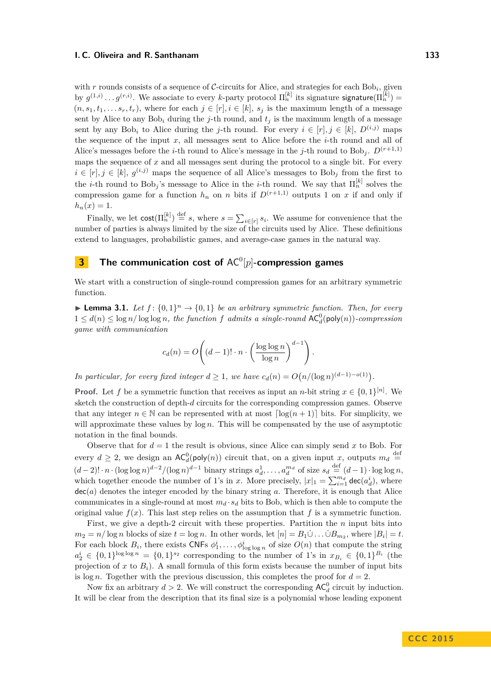with  $r$  rounds consists of a sequence of  $C$ -circuits for Alice, and strategies for each  $Bob_i$ , given by  $g^{(1,i)} \dots g^{(r,i)}$ . We associate to every *k*-party protocol  $\Pi_n^{[k]}$  its signature signature  $(\Pi_n^{[k]}) =$  $(n, s_1, t_1, \ldots, s_r, t_r)$ , where for each  $j \in [r], i \in [k], s_j$  is the maximum length of a message sent by Alice to any  $Bob_i$  during the *j*-th round, and  $t_j$  is the maximum length of a message sent by any Bob<sub>i</sub> to Alice during the *j*-th round. For every  $i \in [r], j \in [k], D^{(i,j)}$  maps the sequence of the input *x*, all messages sent to Alice before the *i*-th round and all of Alice's messages before the *i*-th round to Alice's message in the *j*-th round to Bob<sub>*j*</sub>.  $D^{(r+1,1)}$ maps the sequence of *x* and all messages sent during the protocol to a single bit. For every  $i \in [r], j \in [k], g^{(i,j)}$  maps the sequence of all Alice's messages to Bob<sub>j</sub> from the first to the *i*-th round to  $Bob_j$ 's message to Alice in the *i*-th round. We say that  $\Pi_n^{[k]}$  solves the compression game for a function  $h_n$  on *n* bits if  $D^{(r+1,1)}$  outputs 1 on *x* if and only if  $h_n(x) = 1.$ 

Finally, we let  $\text{cost}(\Pi_n^{[k]}) \stackrel{\text{def}}{=} s$ , where  $s = \sum_{i \in [r]} s_i$ . We assume for convenience that the number of parties is always limited by the size of the circuits used by Alice. These definitions extend to languages, probabilistic games, and average-case games in the natural way.

# <span id="page-9-0"></span>**3** The communication cost of AC<sup>0</sup>[p]-compression games

We start with a construction of single-round compression games for an arbitrary symmetric function.

<span id="page-9-1"></span>**Lemma 3.1.** Let  $f: \{0,1\}^n \to \{0,1\}$  be an arbitrary symmetric function. Then, for every  $1 \leq d(n) \leq \log n / \log \log n$ , the function f admits a single-round  $AC_d^0(\text{poly}(n))$ -compression *game with communication*

$$
c_d(n) = O\left((d-1)! \cdot n \cdot \left(\frac{\log \log n}{\log n}\right)^{d-1}\right).
$$

*In particular, for every fixed integer*  $d \geq 1$ *, we have*  $c_d(n) = O(n/(\log n)^{(d-1)-o(1)})$ .

**Proof.** Let *f* be a symmetric function that receives as input an *n*-bit string  $x \in \{0,1\}^{[n]}$ . We sketch the construction of depth-*d* circuits for the corresponding compression games. Observe that any integer  $n \in \mathbb{N}$  can be represented with at most  $\lceil \log(n+1) \rceil$  bits. For simplicity, we will approximate these values by log *n*. This will be compensated by the use of asymptotic notation in the final bounds.

Observe that for  $d = 1$  the result is obvious, since Alice can simply send x to Bob. For every  $d \geq 2$ , we design an  $AC_d^0(\text{poly}(n))$  circuit that, on a given input *x*, outputs  $m_d \stackrel{\text{def}}{=}$  $(d-2)! \cdot n \cdot (\log \log n)^{d-2} / (\log n)^{d-1}$  binary strings  $a_d^1, \ldots, a_d^{m_d}$  of size  $s_d \stackrel{\text{def}}{=} (d-1) \cdot \log \log n$ , which together encode the number of 1's in *x*. More precisely,  $|x|_1 = \sum_{i=1}^{m_d} \text{dec}(a_d^i)$ , where dec(*a*) denotes the integer encoded by the binary string *a*. Therefore, it is enough that Alice communicates in a single-round at most  $m_d \cdot s_d$  bits to Bob, which is then able to compute the original value  $f(x)$ . This last step relies on the assumption that  $f$  is a symmetric function.

First, we give a depth-2 circuit with these properties. Partition the *n* input bits into  $m_2 = n/\log n$  blocks of size  $t = \log n$ . In other words, let  $[n] = B_1 \dot{\cup} \dots \dot{\cup} B_{m_2}$ , where  $|B_i| = t$ . For each block  $B_i$ , there exists CNFs  $\phi_1^i, \ldots, \phi_{\log \log n}^i$  of size  $O(n)$  that compute the string  $a_2^i \in \{0,1\}^{\log \log n} = \{0,1\}^{s_2}$  corresponding to the number of 1's in  $x_{B_i} \in \{0,1\}^{B_i}$  (the projection of *x* to  $B_i$ ). A small formula of this form exists because the number of input bits is  $\log n$ . Together with the previous discussion, this completes the proof for  $d = 2$ .

Now fix an arbitrary  $d > 2$ . We will construct the corresponding  $AC_d^0$  circuit by induction. It will be clear from the description that its final size is a polynomial whose leading exponent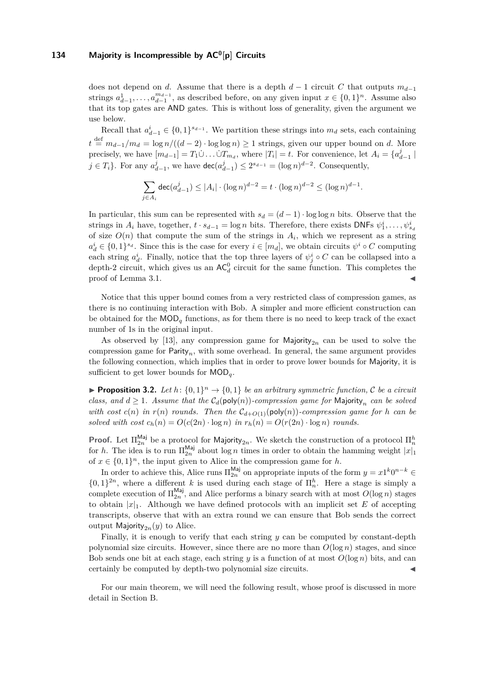does not depend on *d*. Assume that there is a depth  $d-1$  circuit *C* that outputs  $m_{d-1}$ strings  $a_{d-1}^1, \ldots, a_{d-1}^{m_{d-1}}$ , as described before, on any given input  $x \in \{0,1\}^n$ . Assume also that its top gates are AND gates. This is without loss of generality, given the argument we use below.

Recall that  $a_{d-1}^i \in \{0,1\}^{s_{d-1}}$ . We partition these strings into  $m_d$  sets, each containing  $t \stackrel{\text{def}}{=} m_{d-1}/m_d = \log n/((d-2) \cdot \log \log n) \ge 1$  strings, given our upper bound on *d*. More precisely, we have  $[m_{d-1}] = T_1 \dot{\cup} \dots \dot{\cup} T_{m_d}$ , where  $|T_i| = t$ . For convenience, let  $A_i = \{a_{d-1}^j \mid$ *j* ∈ *T<sub>i</sub>*</sub>}. For any  $a_{d-1}^j$ , we have  $\text{dec}(a_{d-1}^j)$  ≤  $2^{s_{d-1}}$  =  $(\log n)^{d-2}$ . Consequently,

$$
\sum_{j \in A_i} \deg(a_{d-1}^j) \le |A_i| \cdot (\log n)^{d-2} = t \cdot (\log n)^{d-2} \le (\log n)^{d-1}.
$$

In particular, this sum can be represented with  $s_d = (d-1) \cdot \log \log n$  bits. Observe that the strings in  $A_i$  have, together,  $t \cdot s_{d-1} = \log n$  bits. Therefore, there exists DNFs  $\psi_1^i, \ldots, \psi_{s_d}^i$ of size  $O(n)$  that compute the sum of the strings in  $A_i$ , which we represent as a string  $a_d^i \in \{0,1\}^{s_d}$ . Since this is the case for every  $i \in [m_d]$ , we obtain circuits  $\psi^i \circ C$  computing each string  $a_d^i$ . Finally, notice that the top three layers of  $\psi_j^i \circ C$  can be collapsed into a depth-2 circuit, which gives us an  $AC_d^0$  circuit for the same function. This completes the proof of Lemma [3.1.](#page-9-1)

Notice that this upper bound comes from a very restricted class of compression games, as there is no continuing interaction with Bob. A simpler and more efficient construction can be obtained for the MOD*<sup>q</sup>* functions, as for them there is no need to keep track of the exact number of 1s in the original input.

As observed by [\[13\]](#page-28-5), any compression game for Majority<sub>2n</sub> can be used to solve the compression game for Parity*n*, with some overhead. In general, the same argument provides the following connection, which implies that in order to prove lower bounds for Majority, it is sufficient to get lower bounds for MOD*q*.

<span id="page-10-0"></span>**• Proposition 3.2.** Let  $h: \{0,1\}^n \to \{0,1\}$  be an arbitrary symmetric function, C be a circuit *class, and*  $d \geq 1$ *. Assume that the*  $C_d(\text{poly}(n))$ *-compression game for* Majority<sub>n</sub> *can be solved with cost*  $c(n)$  *in*  $r(n)$  *rounds. Then the*  $C_{d+O(1)}(\text{poly}(n))$ *-compression game for h can be solved with cost*  $c_h(n) = O(c(2n) \cdot \log n)$  *in*  $r_h(n) = O(r(2n) \cdot \log n)$  *rounds.* 

**Proof.** Let  $\Pi_{2n}^{Maj}$  be a protocol for Majority<sub>2*n*</sub>. We sketch the construction of a protocol  $\Pi_n^h$ for *h*. The idea is to run  $\Pi_{2n}^{\text{Maj}}$  about log *n* times in order to obtain the hamming weight  $|x|_1$ of  $x \in \{0,1\}^n$ , the input given to Alice in the compression game for *h*.

In order to achieve this, Alice runs  $\Pi_{2n}^{\text{Maj}}$  on appropriate inputs of the form  $y = x1^k 0^{n-k} \in$  $\{0,1\}^{2n}$ , where a different *k* is used during each stage of  $\prod_{n=1}^{n}$ . Here a stage is simply a complete execution of  $\Pi_{2n}^{\text{Maj}}$ , and Alice performs a binary search with at most  $O(\log n)$  stages to obtain  $|x|_1$ . Although we have defined protocols with an implicit set E of accepting transcripts, observe that with an extra round we can ensure that Bob sends the correct output Majority<sub>2n</sub> $(y)$  to Alice.

Finally, it is enough to verify that each string *y* can be computed by constant-depth polynomial size circuits. However, since there are no more than  $O(\log n)$  stages, and since Bob sends one bit at each stage, each string  $y$  is a function of at most  $O(\log n)$  bits, and can certainly be computed by depth-two polynomial size circuits.

For our main theorem, we will need the following result, whose proof is discussed in more detail in Section [B.](#page-30-0)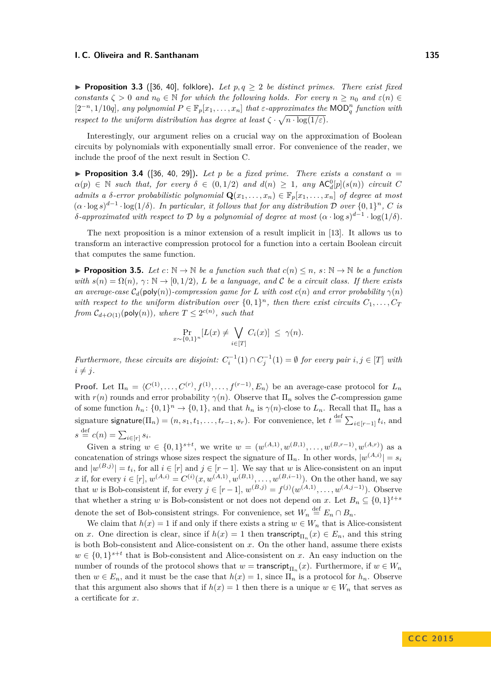<span id="page-11-1"></span>**Proposition 3.3** ([\[36,](#page-29-15) [40\]](#page-29-16), folklore). Let  $p, q \geq 2$  be distinct primes. There exist fixed *constants*  $\zeta > 0$  *and*  $n_0 \in \mathbb{N}$  *for which the following holds. For every*  $n \geq n_0$  *and*  $\varepsilon(n) \in$  $[2^{-n}, 1/10q]$ , any polynomial  $P \in \mathbb{F}_p[x_1, \ldots, x_n]$  that  $\varepsilon$ -approximates the MOD<sub> $q$ </sub><sup>n</sup> function with *respect to the uniform distribution has degree at least*  $\zeta \cdot \sqrt{n \cdot \log(1/\varepsilon)}$ .

Interestingly, our argument relies on a crucial way on the approximation of Boolean circuits by polynomials with exponentially small error. For convenience of the reader, we include the proof of the next result in Section [C.](#page-33-1)

<span id="page-11-2"></span>**Proposition 3.4** ([\[36,](#page-29-15) [40,](#page-29-16) [29\]](#page-29-19)). Let *p* be a fixed prime. There exists a constant  $\alpha =$  $\alpha(p) \in \mathbb{N}$  *such that, for every*  $\delta \in (0, 1/2)$  *and*  $d(n) \geq 1$ *, any*  $AC_d^0[p](s(n))$  *circuit C admits a*  $\delta$ *-error probabilistic polynomial*  $\mathbf{Q}(x_1, \ldots, x_n) \in \mathbb{F}_p[x_1, \ldots, x_n]$  *of degree at most*  $(\alpha \cdot \log s)^{d-1} \cdot \log(1/\delta)$ . In particular, it follows that for any distribution D over  $\{0,1\}^n$ , C is *δ*-approximated with respect to D by a polynomial of degree at most  $(α \cdot log s)^{d-1} \cdot log(1/δ)$ .

The next proposition is a minor extension of a result implicit in [\[13\]](#page-28-5). It allows us to transform an interactive compression protocol for a function into a certain Boolean circuit that computes the same function.

<span id="page-11-0"></span>**Proposition 3.5.** Let  $c: \mathbb{N} \to \mathbb{N}$  be a function such that  $c(n) \leq n$ ,  $s: \mathbb{N} \to \mathbb{N}$  be a function *with*  $s(n) = \Omega(n), \gamma: \mathbb{N} \to [0, 1/2),$  *L be a language, and C be a circuit class. If there exists an average-case*  $C_d(\text{poly}(n))$ *-compression game for L* with cost  $c(n)$  *and error probability*  $\gamma(n)$ with respect to the uniform distribution over  $\{0,1\}^n$ , then there exist circuits  $C_1, \ldots, C_T$ *from*  $C_{d+O(1)}(\text{poly}(n))$ *, where*  $T \leq 2^{c(n)}$ *, such that* 

$$
\Pr_{x \sim \{0,1\}^n} [L(x) \neq \bigvee_{i \in [T]} C_i(x)] \leq \gamma(n).
$$

*Furthermore, these circuits are disjoint:*  $C_i^{-1}(1) \cap C_j^{-1}(1) = \emptyset$  *for every pair*  $i, j \in [T]$  *with*  $i \neq j$ .

**Proof.** Let  $\Pi_n = \langle C^{(1)}, \ldots, C^{(r)}, f^{(1)}, \ldots, f^{(r-1)}, E_n \rangle$  be an average-case protocol for  $L_n$ with  $r(n)$  rounds and error probability  $\gamma(n)$ . Observe that  $\Pi_n$  solves the C-compression game of some function  $h_n: \{0,1\}^n \to \{0,1\}$ , and that  $h_n$  is  $\gamma(n)$ -close to  $L_n$ . Recall that  $\Pi_n$  has a signature signature( $\Pi_n$ ) = ( $n, s_1, t_1, \ldots, t_{r-1}, s_r$ ). For convenience, let  $t \stackrel{\text{def}}{=} \sum_{i \in [r-1]} t_i$ , and  $s \stackrel{\text{def}}{=} c(n) = \sum_{i \in [r]} s_i.$ 

Given a string  $w \in \{0,1\}^{s+t}$ , we write  $w = (w^{(A,1)}, w^{(B,1)}, \ldots, w^{(B,r-1)}, w^{(A,r)})$  as a concatenation of strings whose sizes respect the signature of  $\Pi_n$ . In other words,  $|w^{(A,i)}| = s_i$ and  $|w^{(B,j)}| = t_i$ , for all  $i \in [r]$  and  $j \in [r-1]$ . We say that *w* is Alice-consistent on an input *x* if, for every  $i \in [r]$ ,  $w^{(A,i)} = C^{(i)}(x, w^{(A,1)}, w^{(B,1)}, \ldots, w^{(B,i-1)})$ . On the other hand, we say that *w* is Bob-consistent if, for every  $j \in [r-1]$ ,  $w^{(B,j)} = f^{(j)}(w^{(A,1)}, \ldots, w^{(A,j-1)})$ . Observe that whether a string *w* is Bob-consistent or not does not depend on *x*. Let  $B_n \subseteq \{0,1\}^{t+s}$ denote the set of Bob-consistent strings. For convenience, set  $W_n \stackrel{\text{def}}{=} E_n \cap B_n$ .

We claim that  $h(x) = 1$  if and only if there exists a string  $w \in W_n$  that is Alice-consistent on *x*. One direction is clear, since if  $h(x) = 1$  then transcript<sub> $\Pi_n$ </sub> $(x) \in E_n$ , and this string is both Bob-consistent and Alice-consistent on *x*. On the other hand, assume there exists  $w \in \{0,1\}^{s+t}$  that is Bob-consistent and Alice-consistent on *x*. An easy induction on the number of rounds of the protocol shows that  $w = \text{transcript}_{\Pi_n}(x)$ . Furthermore, if  $w \in W_n$ then  $w \in E_n$ , and it must be the case that  $h(x) = 1$ , since  $\Pi_n$  is a protocol for  $h_n$ . Observe that this argument also shows that if  $h(x) = 1$  then there is a unique  $w \in W_n$  that serves as a certificate for *x*.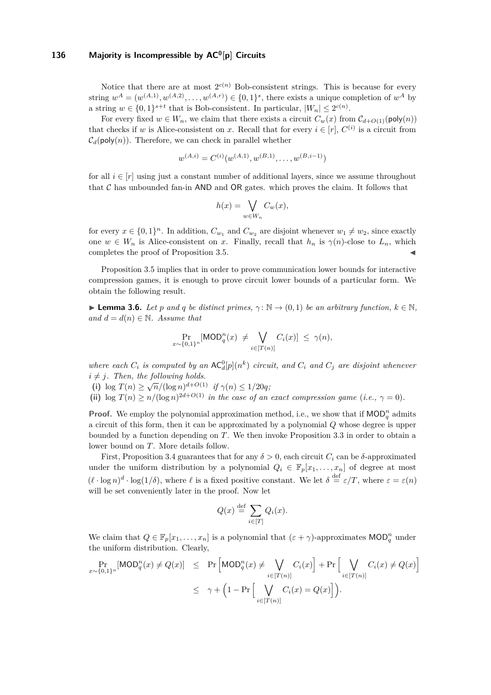Notice that there are at most  $2^{c(n)}$  Bob-consistent strings. This is because for every string  $w^A = (w^{(A,1)}, w^{(A,2)}, \dots, w^{(A,r)}) \in \{0,1\}^s$ , there exists a unique completion of  $w^A$  by a string  $w \in \{0,1\}^{s+t}$  that is Bob-consistent. In particular,  $|W_n| \leq 2^{c(n)}$ .

For every fixed  $w \in W_n$ , we claim that there exists a circuit  $C_w(x)$  from  $C_{d+O(1)}(\text{poly}(n))$ that checks if *w* is Alice-consistent on *x*. Recall that for every  $i \in [r]$ ,  $C^{(i)}$  is a circuit from  $C_d(\text{poly}(n))$ . Therefore, we can check in parallel whether

$$
w^{(A,i)} = C^{(i)}(w^{(A,1)}, w^{(B,1)}, \dots, w^{(B,i-1)})
$$

for all  $i \in [r]$  using just a constant number of additional layers, since we assume throughout that  $\mathcal C$  has unbounded fan-in AND and OR gates. which proves the claim. It follows that

$$
h(x) = \bigvee_{w \in W_n} C_w(x),
$$

for every  $x \in \{0,1\}^n$ . In addition,  $C_{w_1}$  and  $C_{w_2}$  are disjoint whenever  $w_1 \neq w_2$ , since exactly one  $w \in W_n$  is Alice-consistent on *x*. Finally, recall that  $h_n$  is  $\gamma(n)$ -close to  $L_n$ , which completes the proof of Proposition [3.5.](#page-11-0)

Proposition [3.5](#page-11-0) implies that in order to prove communication lower bounds for interactive compression games, it is enough to prove circuit lower bounds of a particular form. We obtain the following result.

<span id="page-12-1"></span>**Lemma 3.6.** *Let p and q be distinct primes,*  $\gamma : \mathbb{N} \to (0,1)$  *be an arbitrary function,*  $k \in \mathbb{N}$ *, and*  $d = d(n) \in \mathbb{N}$ *. Assume that* 

$$
\Pr_{x \sim \{0,1\}^n}[\text{MOD}_q^n(x) \neq \bigvee_{i \in [T(n)]} C_i(x)] \leq \gamma(n),
$$

where each  $C_i$  is computed by an  $AC_d^0[p](n^k)$  circuit, and  $C_i$  and  $C_j$  are disjoint whenever  $i \neq j$ *. Then, the following holds.* 

(i)  $\log T(n) \ge \sqrt{n}/(\log n)^{d+O(1)}$  *if*  $\gamma(n) \le 1/20q$ ;

(ii)  $\log T(n) \geq n/(\log n)^{2d+O(1)}$  *in the case of an exact compression game* (*i.e.*,  $\gamma = 0$ )*.* 

**Proof.** We employ the polynomial approximation method, i.e., we show that if  $\text{MOD}_q^n$  admits a circuit of this form, then it can be approximated by a polynomial *Q* whose degree is upper bounded by a function depending on *T*. We then invoke Proposition [3.3](#page-11-1) in order to obtain a lower bound on *T*. More details follow.

First, Proposition [3.4](#page-11-2) guarantees that for any  $\delta > 0$ , each circuit  $C_i$  can be  $\delta$ -approximated under the uniform distribution by a polynomial  $Q_i \in \mathbb{F}_p[x_1, \ldots, x_n]$  of degree at most  $(\ell \cdot \log n)^d \cdot \log(1/\delta)$ , where  $\ell$  is a fixed positive constant. We let  $\delta \stackrel{\text{def}}{=} \varepsilon/T$ , where  $\varepsilon = \varepsilon(n)$ will be set conveniently later in the proof. Now let

$$
Q(x) \stackrel{\text{def}}{=} \sum_{i \in [T]} Q_i(x).
$$

We claim that  $Q \in \mathbb{F}_p[x_1, \ldots, x_n]$  is a polynomial that  $(\varepsilon + \gamma)$ -approximates  $\mathsf{MOD}_q^n$  under the uniform distribution. Clearly,

<span id="page-12-0"></span>
$$
\Pr_{x \sim \{0,1\}^n}[\text{MOD}_q^n(x) \neq Q(x)] \leq \Pr\left[\text{MOD}_q^n(x) \neq \bigvee_{i \in [T(n)]} C_i(x)\right] + \Pr\left[\bigvee_{i \in [T(n)]} C_i(x) \neq Q(x)\right]
$$

$$
\leq \gamma + \left(1 - \Pr\left[\bigvee_{i \in [T(n)]} C_i(x) = Q(x)\right]\right).
$$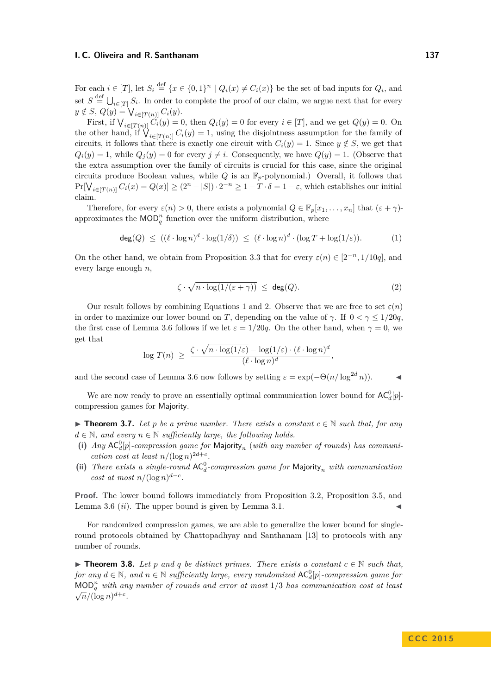For each  $i \in [T]$ , let  $S_i \stackrel{\text{def}}{=} \{x \in \{0,1\}^n \mid Q_i(x) \neq C_i(x)\}$  be the set of bad inputs for  $Q_i$ , and set  $S \stackrel{\text{def}}{=} \bigcup_{i \in [T]} S_i$ . In order to complete the proof of our claim, we argue next that for every  $y \notin S$ ,  $Q(y) = \bigvee_{i \in [T(n)]} C_i(y)$ .

First, if  $\bigvee_{i \in [T(n)]} C_i(y) = 0$ , then  $Q_i(y) = 0$  for every  $i \in [T]$ , and we get  $Q(y) = 0$ . On the other hand, if  $\bigvee_{i \in [T(n)]} C_i(y) = 1$ , using the disjointness assumption for the family of circuits, it follows that there is exactly one circuit with  $C_i(y) = 1$ . Since  $y \notin S$ , we get that  $Q_i(y) = 1$ , while  $Q_i(y) = 0$  for every  $j \neq i$ . Consequently, we have  $Q(y) = 1$ . (Observe that the extra assumption over the family of circuits is crucial for this case, since the original circuits produce Boolean values, while *Q* is an F*p*-polynomial.) Overall, it follows that  $\Pr[\bigvee_{i \in [T(n)]} C_i(x) = Q(x)] \ge (2^n - |S|) \cdot 2^{-n} \ge 1 - T \cdot \delta = 1 - \varepsilon$ , which establishes our initial claim.

Therefore, for every  $\varepsilon(n) > 0$ , there exists a polynomial  $Q \in \mathbb{F}_p[x_1, \ldots, x_n]$  that  $(\varepsilon + \gamma)$ approximates the  $\text{MOD}_q^n$  function over the uniform distribution, where

$$
\deg(Q) \le ((\ell \cdot \log n)^d \cdot \log(1/\delta)) \le (\ell \cdot \log n)^d \cdot (\log T + \log(1/\varepsilon)). \tag{1}
$$

On the other hand, we obtain from Proposition [3.3](#page-11-1) that for every  $\varepsilon(n) \in [2^{-n}, 1/10q]$ , and every large enough *n*,

<span id="page-13-0"></span>
$$
\zeta \cdot \sqrt{n \cdot \log(1/(\varepsilon + \gamma))} \leq \deg(Q). \tag{2}
$$

Our result follows by combining Equations [1](#page-12-0) and [2.](#page-13-0) Observe that we are free to set  $\varepsilon(n)$ in order to maximize our lower bound on *T*, depending on the value of  $\gamma$ . If  $0 < \gamma \leq 1/20q$ , the first case of Lemma [3.6](#page-12-1) follows if we let  $\varepsilon = 1/20q$ . On the other hand, when  $\gamma = 0$ , we get that

$$
\log T(n) \geq \frac{\zeta \cdot \sqrt{n \cdot \log(1/\varepsilon)} - \log(1/\varepsilon) \cdot (\ell \cdot \log n)^d}{(\ell \cdot \log n)^d},
$$

and the second case of Lemma [3.6](#page-12-1) now follows by setting  $\varepsilon = \exp(-\Theta(n/\log^{2d} n)).$ 

We are now ready to prove an essentially optimal communication lower bound for  $AC_d^0[p]$ compression games for Majority.

<span id="page-13-1"></span>**► Theorem 3.7.** Let *p* be a prime number. There exists a constant  $c \in \mathbb{N}$  such that, for any  $d \in \mathbb{N}$ , and every  $n \in \mathbb{N}$  sufficiently large, the following holds.

- (i)  $Any AC<sub>a</sub><sup>0</sup>[p]$ -compression game for Majority<sub>n</sub> (with any number of rounds) has communi*cation cost at least*  $n/(\log n)^{2d+c}$ .
- (ii) There exists a single-round  $AC_d^0$ -compression game for Majority<sub>n</sub> with communication *cost at most*  $n/(\log n)^{d-c}$ .

**Proof.** The lower bound follows immediately from Proposition [3.2,](#page-10-0) Proposition [3.5,](#page-11-0) and Lemma [3.6](#page-12-1)  $(ii)$ . The upper bound is given by Lemma [3.1.](#page-9-1)

For randomized compression games, we are able to generalize the lower bound for singleround protocols obtained by Chattopadhyay and Santhanam [\[13\]](#page-28-5) to protocols with any number of rounds.

<span id="page-13-2"></span>▶ **Theorem 3.8.** *Let p and q be distinct primes. There exists a constant*  $c \in \mathbb{N}$  *such that,*  $for any d \in \mathbb{N}$ , and  $n \in \mathbb{N}$  sufficiently large, every randomized  $AC_d^0[p]$ -compression game for MOD*<sup>n</sup> <sup>q</sup> with any number of rounds and error at most* 1*/*3 *has communication cost at least*  $\sqrt{n}/(\log n)^{d+c}$ .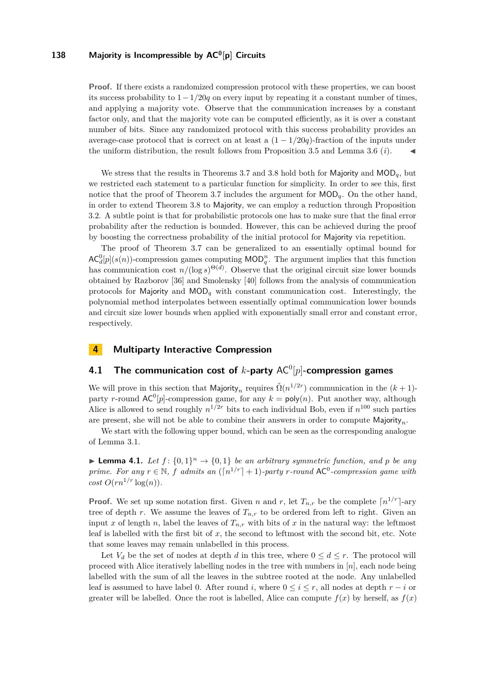**Proof.** If there exists a randomized compression protocol with these properties, we can boost its success probability to 1−1*/*20*q* on every input by repeating it a constant number of times, and applying a majority vote. Observe that the communication increases by a constant factor only, and that the majority vote can be computed efficiently, as it is over a constant number of bits. Since any randomized protocol with this success probability provides an average-case protocol that is correct on at least a  $(1 - 1/20q)$ -fraction of the inputs under the uniform distribution, the result follows from Proposition [3.5](#page-11-0) and Lemma [3.6](#page-12-1)  $(i)$ .

We stress that the results in Theorems [3.7](#page-13-1) and [3.8](#page-13-2) hold both for Majority and MOD*q*, but we restricted each statement to a particular function for simplicity. In order to see this, first notice that the proof of Theorem [3.7](#page-13-1) includes the argument for MOD*q*. On the other hand, in order to extend Theorem [3.8](#page-13-2) to Majority, we can employ a reduction through Proposition [3.2.](#page-10-0) A subtle point is that for probabilistic protocols one has to make sure that the final error probability after the reduction is bounded. However, this can be achieved during the proof by boosting the correctness probability of the initial protocol for Majority via repetition.

The proof of Theorem [3.7](#page-13-1) can be generalized to an essentially optimal bound for  $AC_d^0[p](s(n))$ -compression games computing  $MOD_q^n$ . The argument implies that this function has communication cost  $n/(\log s)^{\Theta(d)}$ . Observe that the original circuit size lower bounds obtained by Razborov [\[36\]](#page-29-15) and Smolensky [\[40\]](#page-29-16) follows from the analysis of communication protocols for Majority and MOD*<sup>q</sup>* with constant communication cost. Interestingly, the polynomial method interpolates between essentially optimal communication lower bounds and circuit size lower bounds when applied with exponentially small error and constant error, respectively.

### <span id="page-14-0"></span>**4 Multiparty Interactive Compression**

# **4.1 The communication cost of** *k***-party** AC<sup>0</sup> [*p*]**-compression games**

We will prove in this section that Majority<sub>n</sub> requires  $\tilde{\Omega}(n^{1/2r})$  communication in the  $(k+1)$ party *r*-round  $AC^0[p]$ -compression game, for any  $k = poly(n)$ . Put another way, although Alice is allowed to send roughly  $n^{1/2r}$  bits to each individual Bob, even if  $n^{100}$  such parties are present, she will not be able to combine their answers in order to compute Majority*n*.

We start with the following upper bound, which can be seen as the corresponding analogue of Lemma [3.1.](#page-9-1)

<span id="page-14-1"></span>**Example 1.1.** Let  $f: \{0,1\}^n \to \{0,1\}$  be an arbitrary symmetric function, and p be any *prime. For any*  $r \in \mathbb{N}$ ,  $f$  *admits an*  $(\lceil n^{1/r} \rceil + 1)$ *-party r-round* AC<sup>0</sup>*-compression game with*  $cost$   $O(rn^{1/r} \log(n)).$ 

**Proof.** We set up some notation first. Given *n* and *r*, let  $T_{n,r}$  be the complete  $\lceil n^{1/r} \rceil$ -ary tree of depth *r*. We assume the leaves of  $T_{n,r}$  to be ordered from left to right. Given an input *x* of length *n*, label the leaves of  $T_{n,r}$  with bits of *x* in the natural way: the leftmost leaf is labelled with the first bit of x, the second to leftmost with the second bit, etc. Note that some leaves may remain unlabelled in this process.

Let  $V_d$  be the set of nodes at depth *d* in this tree, where  $0 \leq d \leq r$ . The protocol will proceed with Alice iteratively labelling nodes in the tree with numbers in [*n*], each node being labelled with the sum of all the leaves in the subtree rooted at the node. Any unlabelled leaf is assumed to have label 0. After round *i*, where  $0 \le i \le r$ , all nodes at depth  $r - i$  or greater will be labelled. Once the root is labelled, Alice can compute  $f(x)$  by herself, as  $f(x)$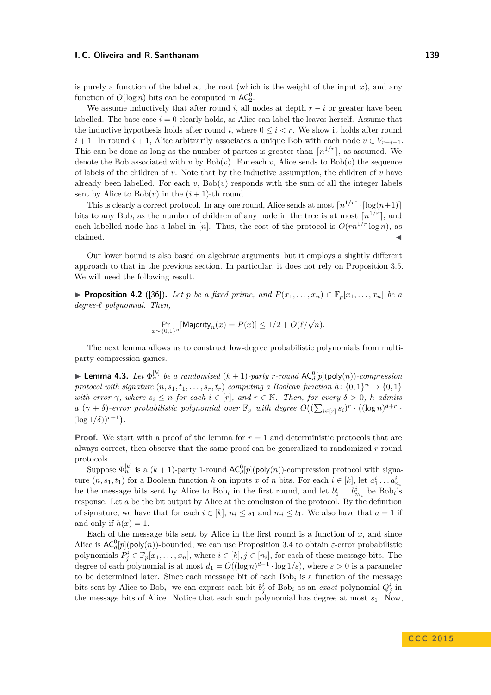is purely a function of the label at the root (which is the weight of the input  $x$ ), and any function of  $O(\log n)$  bits can be computed in  $AC_2^0$ .

We assume inductively that after round *i*, all nodes at depth  $r - i$  or greater have been labelled. The base case  $i = 0$  clearly holds, as Alice can label the leaves herself. Assume that the inductive hypothesis holds after round *i*, where  $0 \leq i \leq r$ . We show it holds after round *i* + 1. In round *i* + 1, Alice arbitrarily associates a unique Bob with each node  $v \in V_{r-i-1}$ . This can be done as long as the number of parties is greater than  $\lceil n^{1/r} \rceil$ , as assumed. We denote the Bob associated with *v* by  $Bob(v)$ . For each *v*, Alice sends to  $Bob(v)$  the sequence of labels of the children of  $v$ . Note that by the inductive assumption, the children of  $v$  have already been labelled. For each  $v$ ,  $Bob(v)$  responds with the sum of all the integer labels sent by Alice to  $Bob(v)$  in the  $(i + 1)$ -th round.

This is clearly a correct protocol. In any one round, Alice sends at most  $\lceil n^{1/r} \rceil \cdot \lceil \log(n+1) \rceil$ bits to any Bob, as the number of children of any node in the tree is at most  $\lceil n^{1/r} \rceil$ , and each labelled node has a label in [*n*]. Thus, the cost of the protocol is  $O(rn^{1/r} \log n)$ , as  $claimed.$ 

Our lower bound is also based on algebraic arguments, but it employs a slightly different approach to that in the previous section. In particular, it does not rely on Proposition [3.5.](#page-11-0) We will need the following result.

<span id="page-15-1"></span>▶ **Proposition 4.2** ([\[36\]](#page-29-15)). Let *p* be a fixed prime, and  $P(x_1, \ldots, x_n) \in \mathbb{F}_n[x_1, \ldots, x_n]$  be a *degree-` polynomial. Then,*

$$
\Pr_{x \sim \{0,1\}^n}[\text{Majority}_n(x) = P(x)] \le 1/2 + O(\ell/\sqrt{n}).
$$

The next lemma allows us to construct low-degree probabilistic polynomials from multiparty compression games.

<span id="page-15-0"></span>**Example 1.3.** Let  $\Phi_n^{[k]}$  be a randomized  $(k+1)$ -party *r*-round  $AC_d^0[p](\text{poly}(n))$ -compression *protocol with signature*  $(n, s_1, t_1, \ldots, s_r, t_r)$  *computing a Boolean function*  $h: \{0, 1\}^n \to \{0, 1\}$ *with error*  $\gamma$ *, where*  $s_i \leq n$  *for each*  $i \in [r]$ *, and*  $r \in \mathbb{N}$ *. Then, for every*  $\delta > 0$ *, h admits a*  $(\gamma + \delta)$ -error probabilistic polynomial over  $\mathbb{F}_p$  with degree  $O((\sum_{i \in [r]} s_i)^r \cdot ((\log n)^{d+r})$  $(\log 1/\delta)$ <sup>*r*+1</sup>).

**Proof.** We start with a proof of the lemma for  $r = 1$  and deterministic protocols that are always correct, then observe that the same proof can be generalized to randomized *r*-round protocols.

Suppose  $\Phi_n^{[k]}$  is a  $(k+1)$ -party 1-round  $AC_d^0[p](\text{poly}(n))$ -compression protocol with signature  $(n, s_1, t_1)$  for a Boolean function *h* on inputs *x* of *n* bits. For each  $i \in [k]$ , let  $a_1^i \ldots a_{n_i}^i$ be the message bits sent by Alice to Bob<sub>i</sub> in the first round, and let  $b_1^i \dots b_{m_i}^i$  be Bob<sub>i</sub>'s response. Let *a* be the bit output by Alice at the conclusion of the protocol. By the definition of signature, we have that for each  $i \in [k]$ ,  $n_i \leq s_1$  and  $m_i \leq t_1$ . We also have that  $a = 1$  if and only if  $h(x) = 1$ .

Each of the message bits sent by Alice in the first round is a function of *x*, and since Alice is  $AC_d^0[p](\text{poly}(n))$ -bounded, we can use Proposition [3.4](#page-11-2) to obtain  $\varepsilon$ -error probabilistic polynomials  $P_j^i \in \mathbb{F}_p[x_1, \ldots, x_n]$ , where  $i \in [k], j \in [n_i]$ , for each of these message bits. The degree of each polynomial is at most  $d_1 = O((\log n)^{d-1} \cdot \log 1/\varepsilon)$ , where  $\varepsilon > 0$  is a parameter to be determined later. Since each message bit of each  $Bob<sub>i</sub>$  is a function of the message bits sent by Alice to Bob<sub>i</sub>, we can express each bit  $b_j^i$  of Bob<sub>i</sub> as an *exact* polynomial  $Q_j^i$  in the message bits of Alice. Notice that each such polynomial has degree at most *s*1. Now,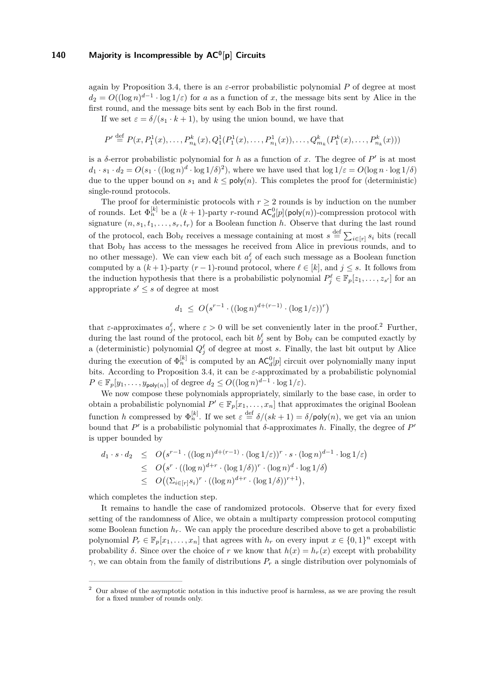again by Proposition [3.4,](#page-11-2) there is an *ε*-error probabilistic polynomial *P* of degree at most  $d_2 = O((\log n)^{d-1} \cdot \log 1/\varepsilon)$  for *a* as a function of *x*, the message bits sent by Alice in the first round, and the message bits sent by each Bob in the first round.

If we set  $\varepsilon = \delta/(s_1 \cdot k + 1)$ , by using the union bound, we have that

$$
P' \stackrel{\text{def}}{=} P(x, P_1^1(x), \dots, P_{n_k}^k(x), Q_1^1(P_1^1(x), \dots, P_{n_1}^1(x)), \dots, Q_{m_k}^k(P_1^k(x), \dots, P_{n_k}^k(x)))
$$

is a  $\delta$ -error probabilistic polynomial for h as a function of x. The degree of  $P'$  is at most  $d_1 \cdot s_1 \cdot d_2 = O(s_1 \cdot ((\log n)^d \cdot \log 1/\delta)^2)$ , where we have used that  $\log 1/\varepsilon = O(\log n \cdot \log 1/\delta)$ due to the upper bound on  $s_1$  and  $k \leq poly(n)$ . This completes the proof for (deterministic) single-round protocols.

The proof for deterministic protocols with  $r \geq 2$  rounds is by induction on the number of rounds. Let  $\Phi_n^{[k]}$  be a  $(k+1)$ -party *r*-round  $AC_d^0[p](\text{poly}(n))$ -compression protocol with signature  $(n, s_1, t_1, \ldots, s_r, t_r)$  for a Boolean function *h*. Observe that during the last round of the protocol, each Bob<sub></sub><sup>*i*</sup> receives a message containing at most  $s \stackrel{\text{def}}{=} \sum_{i \in [r]} s_i$  bits (recall that  $Bob_\ell$  has access to the messages he received from Alice in previous rounds, and to no other message). We can view each bit  $a_j^{\ell}$  of each such message as a Boolean function computed by a  $(k + 1)$ -party  $(r - 1)$ -round protocol, where  $\ell \in [k]$ , and  $j \leq s$ . It follows from the induction hypothesis that there is a probabilistic polynomial  $P_j^{\ell} \in \mathbb{F}_p[z_1,\ldots,z_{s'}]$  for an appropriate  $s' \leq s$  of degree at most

$$
d_1 \le O\big(s^{r-1} \cdot ((\log n)^{d+(r-1)} \cdot (\log 1/\varepsilon))^r\big)
$$

that  $\varepsilon$ -approximates  $a_j^{\ell}$ , where  $\varepsilon > 0$  will be set conveniently later in the proof.<sup>[2](#page-16-0)</sup> Further, during the last round of the protocol, each bit  $b_j^{\ell}$  sent by  $Bob_{\ell}$  can be computed exactly by a (deterministic) polynomial  $Q_j^{\ell}$  of degree at most *s*. Finally, the last bit output by Alice during the execution of  $\Phi_n^{[k]}$  is computed by an  $AC_d^0[p]$  circuit over polynomially many input bits. According to Proposition [3.4,](#page-11-2) it can be *ε*-approximated by a probabilistic polynomial  $P \in \mathbb{F}_p[y_1,\ldots,y_{\text{poly}(n)}]$  of degree  $d_2 \leq O((\log n)^{d-1} \cdot \log 1/\varepsilon)$ .

We now compose these polynomials appropriately, similarly to the base case, in order to obtain a probabilistic polynomial  $P' \in \mathbb{F}_p[x_1, \ldots, x_n]$  that approximates the original Boolean function *h* compressed by  $\Phi_n^{[k]}$ . If we set  $\varepsilon \stackrel{\text{def}}{=} \delta/(sk+1) = \delta/\text{poly}(n)$ , we get via an union bound that  $P'$  is a probabilistic polynomial that  $\delta$ -approximates  $h$ . Finally, the degree of  $P'$ is upper bounded by

$$
d_1 \cdot s \cdot d_2 \leq O(s^{r-1} \cdot ((\log n)^{d+(r-1)} \cdot (\log 1/\varepsilon))^r \cdot s \cdot (\log n)^{d-1} \cdot \log 1/\varepsilon)
$$
  
\n
$$
\leq O(s^r \cdot ((\log n)^{d+r} \cdot (\log 1/\delta))^r \cdot (\log n)^d \cdot \log 1/\delta)
$$
  
\n
$$
\leq O((\Sigma_{i \in [r]} s_i)^r \cdot ((\log n)^{d+r} \cdot (\log 1/\delta))^{r+1}),
$$

which completes the induction step.

It remains to handle the case of randomized protocols. Observe that for every fixed setting of the randomness of Alice, we obtain a multiparty compression protocol computing some Boolean function  $h_r$ . We can apply the procedure described above to get a probabilistic polynomial  $P_r \in \mathbb{F}_p[x_1, \ldots, x_n]$  that agrees with  $h_r$  on every input  $x \in \{0, 1\}^n$  except with probability  $\delta$ . Since over the choice of *r* we know that  $h(x) = h_r(x)$  except with probability *γ*, we can obtain from the family of distributions *P<sup>r</sup>* a single distribution over polynomials of

<span id="page-16-0"></span><sup>2</sup> Our abuse of the asymptotic notation in this inductive proof is harmless, as we are proving the result for a fixed number of rounds only.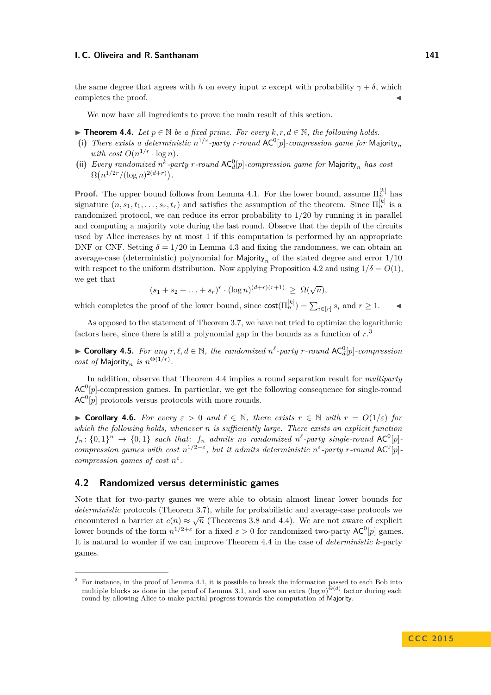the same degree that agrees with *h* on every input *x* except with probability  $\gamma + \delta$ , which completes the proof.

We now have all ingredients to prove the main result of this section.

<span id="page-17-1"></span>**► Theorem 4.4.** Let  $p \in \mathbb{N}$  be a fixed prime. For every  $k, r, d \in \mathbb{N}$ , the following holds.

- (i) There exists a deterministic  $n^{1/r}$ -party *r*-round  $AC^0[p]$ -compression game for Majority<sub>n</sub> *with cost*  $O(n^{1/r} \cdot \log n)$ *.*
- (ii) *Every randomized*  $n^k$ -party *r*-round  $AC_d^0[p]$ -compression game for Majority<sub>n</sub> has cost  $\Omega(n^{1/2r}/(\log n)^{2(d+r)})$ .

**Proof.** The upper bound follows from Lemma [4.1.](#page-14-1) For the lower bound, assume  $\Pi_n^{[k]}$  has signature  $(n, s_1, t_1, \ldots, s_r, t_r)$  and satisfies the assumption of the theorem. Since  $\Pi_n^{[k]}$  is a randomized protocol, we can reduce its error probability to 1*/*20 by running it in parallel and computing a majority vote during the last round. Observe that the depth of the circuits used by Alice increases by at most 1 if this computation is performed by an appropriate DNF or CNF. Setting  $\delta = 1/20$  in Lemma [4.3](#page-15-0) and fixing the randomness, we can obtain an average-case (deterministic) polynomial for Majority*<sup>n</sup>* of the stated degree and error 1*/*10 with respect to the uniform distribution. Now applying Proposition [4.2](#page-15-1) and using  $1/\delta = O(1)$ , we get that

$$
(s_1 + s_2 + \ldots + s_r)^r \cdot (\log n)^{(d+r)(r+1)} \ge \Omega(\sqrt{n}),
$$

which completes the proof of the lower bound, since  $\text{cost}(\Pi_n^{[k]}) = \sum_{i \in [r]} s_i$  and  $r \ge 1$ .

As opposed to the statement of Theorem [3.7,](#page-13-1) we have not tried to optimize the logarithmic factors here, since there is still a polynomial gap in the bounds as a function of *r*. [3](#page-17-0)

▶ **Corollary 4.5.** *For any*  $r, \ell, d \in \mathbb{N}$ , the randomized  $n^{\ell}$ -party *r*-round  $AC_d^0[p]$ -compression *cost of* Majority<sub>n</sub> *is*  $n^{\Theta(1/r)}$ .

In addition, observe that Theorem [4.4](#page-17-1) implies a round separation result for *multiparty*  $AC<sup>0</sup>[p]$ -compression games. In particular, we get the following consequence for single-round  $AC^0[p]$  protocols versus protocols with more rounds.

**► Corollary 4.6.** *For every*  $\epsilon > 0$  *and*  $\ell \in \mathbb{N}$ *, there exists*  $r \in \mathbb{N}$  *with*  $r = O(1/\epsilon)$  *for which the following holds, whenever n is sufficiently large. There exists an explicit function*  $f_n: \{0,1\}^n \to \{0,1\}$  such that:  $f_n$  admits no randomized  $n^{\ell}$ -party single-round  $AC^0[p]$ *compression games with cost*  $n^{1/2-\epsilon}$ , but it admits deterministic  $n^{\epsilon}$ -party *r*-round  $AC^{0}[p]$ *compression games of cost n ε .*

### **4.2 Randomized versus deterministic games**

Note that for two-party games we were able to obtain almost linear lower bounds for *deterministic* protocols (Theorem [3.7\)](#page-13-1), while for probabilistic and average-case protocols we encountered a barrier at  $c(n) \approx \sqrt{n}$  (Theorems [3.8](#page-13-2) and [4.4\)](#page-17-1). We are not aware of explicit lower bounds of the form  $n^{1/2+\epsilon}$  for a fixed  $\varepsilon > 0$  for randomized two-party  $AC^0[p]$  games. It is natural to wonder if we can improve Theorem [4.4](#page-17-1) in the case of *deterministic k*-party games.

<span id="page-17-0"></span><sup>3</sup> For instance, in the proof of Lemma [4.1,](#page-14-1) it is possible to break the information passed to each Bob into multiple blocks as done in the proof of Lemma [3.1,](#page-9-1) and save an extra  $(\log n)^{\Theta(d)}$  factor during each round by allowing Alice to make partial progress towards the computation of Majority.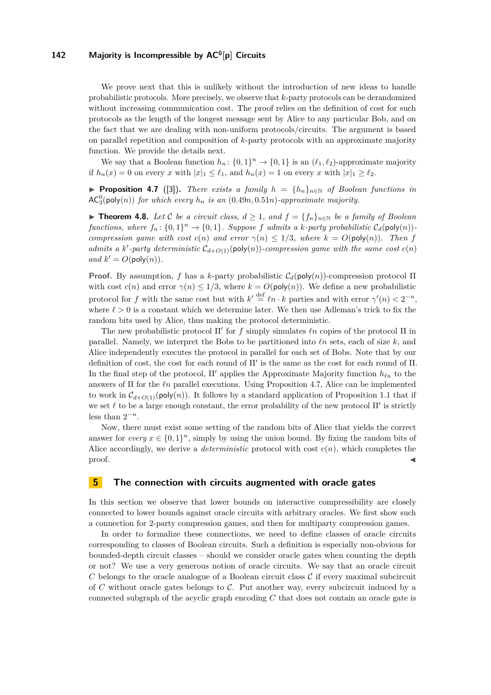We prove next that this is unlikely without the introduction of new ideas to handle probabilistic protocols. More precisely, we observe that *k*-party protocols can be derandomized without increasing communication cost. The proof relies on the definition of cost for such protocols as the length of the longest message sent by Alice to any particular Bob, and on the fact that we are dealing with non-uniform protocols/circuits. The argument is based on parallel repetition and composition of *k*-party protocols with an approximate majority function. We provide the details next.

We say that a Boolean function  $h_n: \{0,1\}^n \to \{0,1\}$  is an  $(\ell_1, \ell_2)$ -approximate majority if  $h_n(x) = 0$  on every *x* with  $|x|_1 \leq \ell_1$ , and  $h_n(x) = 1$  on every *x* with  $|x|_1 \geq \ell_2$ .

<span id="page-18-1"></span>▶ **Proposition 4.7** ([\[3\]](#page-27-3)). *There exists a family*  $h = \{h_n\}_{n \in \mathbb{N}}$  *of Boolean functions in*  $AC_3^0$ (poly(*n*)) *for which every*  $h_n$  *is an* (0.49*n*, 0.51*n*)*-approximate majority.* 

▶ **Theorem 4.8.** *Let* C *be a circuit class,*  $d \ge 1$ *, and*  $f = \{f_n\}_{n \in \mathbb{N}}$  *be a family of Boolean functions, where*  $f_n: \{0,1\}^n \to \{0,1\}$ *. Suppose f admits a k-party probabilistic*  $C_d(\text{poly}(n))$ *compression game with cost*  $c(n)$  *and error*  $\gamma(n) \leq 1/3$ *, where*  $k = O(\text{poly}(n))$ *. Then f admits a k*'-party deterministic  $C_{d+O(1)}(\text{poly}(n))$ -compression game with the same cost  $c(n)$ *and*  $k' = O(\text{poly}(n)).$ 

**Proof.** By assumption, *f* has a *k*-party probabilistic  $C_d(\text{poly}(n))$ -compression protocol Π with cost  $c(n)$  and error  $\gamma(n) \leq 1/3$ , where  $k = O(poly(n))$ . We define a new probabilistic protocol for *f* with the same cost but with  $k' \stackrel{\text{def}}{=} \ell n \cdot k$  parties and with error  $\gamma'(n) < 2^{-n}$ , where  $\ell > 0$  is a constant which we determine later. We then use Adleman's trick to fix the random bits used by Alice, thus making the protocol deterministic.

The new probabilistic protocol  $\Pi'$  for *f* simply simulates  $\ell n$  copies of the protocol  $\Pi$  in parallel. Namely, we interpret the Bobs to be partitioned into  $ln$  sets, each of size  $k$ , and Alice independently executes the protocol in parallel for each set of Bobs. Note that by our definition of cost, the cost for each round of  $\Pi'$  is the same as the cost for each round of  $\Pi$ . In the final step of the protocol,  $\Pi'$  applies the Approximate Majority function  $h_{\ell n}$  to the answers of Π for the *`n* parallel executions. Using Proposition [4.7,](#page-18-1) Alice can be implemented to work in  $C_{d+O(1)}(\text{poly}(n))$ . It follows by a standard application of Proposition [1.1](#page-30-1) that if we set  $\ell$  to be a large enough constant, the error probability of the new protocol  $\Pi'$  is strictly less than  $2^{-n}$ .

Now, there must exist some setting of the random bits of Alice that yields the correct answer for *every*  $x \in \{0,1\}^n$ , simply by using the union bound. By fixing the random bits of Alice accordingly, we derive a *deterministic* protocol with cost  $c(n)$ , which completes the  $\blacksquare$ proof.

### <span id="page-18-0"></span>**5 The connection with circuits augmented with oracle gates**

In this section we observe that lower bounds on interactive compressibility are closely connected to lower bounds against oracle circuits with arbitrary oracles. We first show such a connection for 2-party compression games, and then for multiparty compression games.

In order to formalize these connections, we need to define classes of oracle circuits corresponding to classes of Boolean circuits. Such a definition is especially non-obvious for bounded-depth circuit classes – should we consider oracle gates when counting the depth or not? We use a very generous notion of oracle circuits. We say that an oracle circuit  $C$  belongs to the oracle analogue of a Boolean circuit class  $C$  if every maximal subcircuit of *C* without oracle gates belongs to C. Put another way, every subcircuit induced by a connected subgraph of the acyclic graph encoding *C* that does not contain an oracle gate is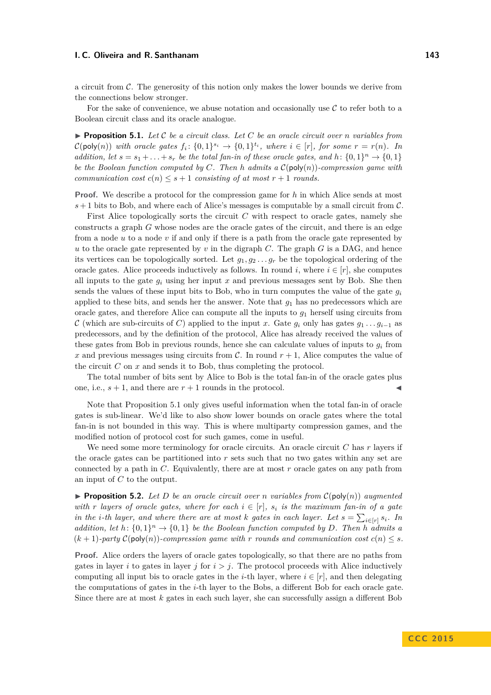a circuit from  $\mathcal{C}$ . The generosity of this notion only makes the lower bounds we derive from the connections below stronger.

For the sake of convenience, we abuse notation and occasionally use  $\mathcal C$  to refer both to a Boolean circuit class and its oracle analogue.

<span id="page-19-0"></span>**Proposition 5.1.** Let  $C$  be a circuit class. Let  $C$  be an oracle circuit over  $n$  variables from  $\mathcal{C}(\text{poly}(n))$  with oracle gates  $f_i: \{0,1\}^{s_i} \to \{0,1\}^{t_i}$ , where  $i \in [r]$ , for some  $r = r(n)$ . In *addition, let*  $s = s_1 + \ldots + s_r$  *be the total fan-in of these oracle gates, and*  $h: \{0, 1\}^n \to \{0, 1\}$ *be the Boolean function computed by C. Then h admits a* C(poly(*n*))*-compression game with communication cost*  $c(n) \leq s+1$  *consisting of at most*  $r+1$  *rounds.* 

**Proof.** We describe a protocol for the compression game for h in which Alice sends at most  $s+1$  bits to Bob, and where each of Alice's messages is computable by a small circuit from  $\mathcal{C}$ .

First Alice topologically sorts the circuit  $C$  with respect to oracle gates, namely she constructs a graph *G* whose nodes are the oracle gates of the circuit, and there is an edge from a node *u* to a node *v* if and only if there is a path from the oracle gate represented by *u* to the oracle gate represented by *v* in the digraph *C*. The graph *G* is a DAG, and hence its vertices can be topologically sorted. Let  $g_1, g_2, \ldots, g_r$  be the topological ordering of the oracle gates. Alice proceeds inductively as follows. In round *i*, where  $i \in [r]$ , she computes all inputs to the gate  $g_i$  using her input  $x$  and previous messages sent by Bob. She then sends the values of these input bits to Bob, who in turn computes the value of the gate *g<sup>i</sup>* applied to these bits, and sends her the answer. Note that *g*<sup>1</sup> has no predecessors which are oracle gates, and therefore Alice can compute all the inputs to  $g_1$  herself using circuits from C (which are sub-circuits of C) applied to the input x. Gate  $q_i$  only has gates  $q_1 \ldots q_{i-1}$  as predecessors, and by the definition of the protocol, Alice has already received the values of these gates from Bob in previous rounds, hence she can calculate values of inputs to  $q_i$  from *x* and previous messages using circuits from C. In round  $r + 1$ , Alice computes the value of the circuit *C* on *x* and sends it to Bob, thus completing the protocol.

The total number of bits sent by Alice to Bob is the total fan-in of the oracle gates plus one, i.e.,  $s + 1$ , and there are  $r + 1$  rounds in the protocol.

Note that Proposition [5.1](#page-19-0) only gives useful information when the total fan-in of oracle gates is sub-linear. We'd like to also show lower bounds on oracle gates where the total fan-in is not bounded in this way. This is where multiparty compression games, and the modified notion of protocol cost for such games, come in useful.

We need some more terminology for oracle circuits. An oracle circuit *C* has *r* layers if the oracle gates can be partitioned into *r* sets such that no two gates within any set are connected by a path in *C*. Equivalently, there are at most *r* oracle gates on any path from an input of *C* to the output.

<span id="page-19-1"></span>**Proposition 5.2.** Let D be an oracle circuit over *n* variables from  $\mathcal{C}(\text{poly}(n))$  augmented *with r layers of oracle gates, where for each*  $i \in [r]$ *, s<sub>i</sub> is the maximum fan-in of a gate in the i*-th layer, and where there are at most *k* gates in each layer. Let  $s = \sum_{i \in [r]} s_i$ . In *addition, let*  $h: \{0,1\}^n \to \{0,1\}$  *be the Boolean function computed by D.* Then *h admits a*  $(k+1)$ -party  $C(\text{poly}(n))$ -compression game with r rounds and communication cost  $c(n) \leq s$ .

**Proof.** Alice orders the layers of oracle gates topologically, so that there are no paths from gates in layer *i* to gates in layer *j* for  $i > j$ . The protocol proceeds with Alice inductively computing all input bis to oracle gates in the *i*-th layer, where  $i \in [r]$ , and then delegating the computations of gates in the *i*-th layer to the Bobs, a different Bob for each oracle gate. Since there are at most *k* gates in each such layer, she can successfully assign a different Bob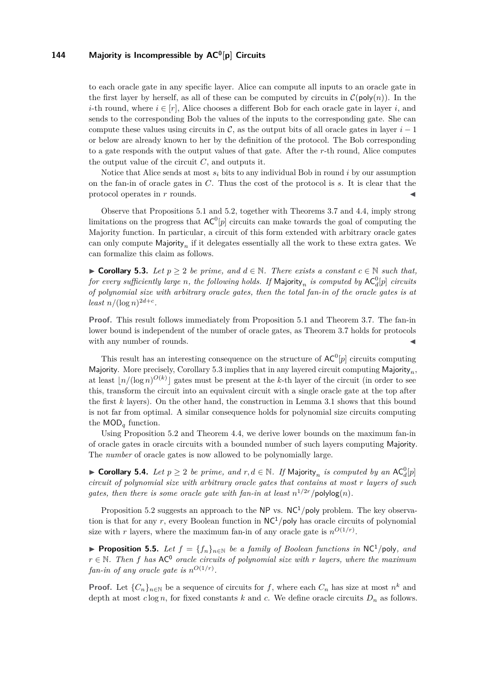to each oracle gate in any specific layer. Alice can compute all inputs to an oracle gate in the first layer by herself, as all of these can be computed by circuits in  $\mathcal{C}(\text{poly}(n))$ . In the *i*-th round, where  $i \in [r]$ , Alice chooses a different Bob for each oracle gate in layer *i*, and sends to the corresponding Bob the values of the inputs to the corresponding gate. She can compute these values using circuits in  $\mathcal{C}$ , as the output bits of all oracle gates in layer  $i-1$ or below are already known to her by the definition of the protocol. The Bob corresponding to a gate responds with the output values of that gate. After the *r*-th round, Alice computes the output value of the circuit *C*, and outputs it.

Notice that Alice sends at most  $s_i$  bits to any individual Bob in round  $i$  by our assumption on the fan-in of oracle gates in *C*. Thus the cost of the protocol is *s*. It is clear that the protocol operates in *r* rounds.

Observe that Propositions [5.1](#page-19-0) and [5.2,](#page-19-1) together with Theorems [3.7](#page-13-1) and [4.4,](#page-17-1) imply strong limitations on the progress that  $AC^0[p]$  circuits can make towards the goal of computing the Majority function. In particular, a circuit of this form extended with arbitrary oracle gates can only compute  $\text{Majority}_n$  if it delegates essentially all the work to these extra gates. We can formalize this claim as follows.

<span id="page-20-0"></span>▶ Corollary 5.3. Let  $p \geq 2$  be prime, and  $d \in \mathbb{N}$ . There exists a constant  $c \in \mathbb{N}$  such that, *for every sufficiently large n, the following holds. If* Majority<sub>*n*</sub> *is computed by*  $AC_d^0[p]$  *circuits of polynomial size with arbitrary oracle gates, then the total fan-in of the oracle gates is at*  $\frac{1}{2}$  *least*  $n/(\log n)^{2d+c}$ .

**Proof.** This result follows immediately from Proposition [5.1](#page-19-0) and Theorem [3.7.](#page-13-1) The fan-in lower bound is independent of the number of oracle gates, as Theorem [3.7](#page-13-1) holds for protocols with any number of rounds.

This result has an interesting consequence on the structure of  $AC^0[p]$  circuits computing Majority. More precisely, Corollary [5.3](#page-20-0) implies that in any layered circuit computing Majority*n*, at least  $\lfloor n/(\log n)^{O(k)} \rfloor$  gates must be present at the *k*-th layer of the circuit (in order to see this, transform the circuit into an equivalent circuit with a single oracle gate at the top after the first *k* layers). On the other hand, the construction in Lemma [3.1](#page-9-1) shows that this bound is not far from optimal. A similar consequence holds for polynomial size circuits computing the MOD*<sup>q</sup>* function.

Using Proposition [5.2](#page-19-1) and Theorem [4.4,](#page-17-1) we derive lower bounds on the maximum fan-in of oracle gates in oracle circuits with a bounded number of such layers computing Majority. The *number* of oracle gates is now allowed to be polynomially large.

<span id="page-20-1"></span>▶ Corollary 5.4. *Let*  $p \ge 2$  *be prime, and*  $r, d \in \mathbb{N}$ . If Majority<sub>n</sub> is computed by an AC<sub> $d$ </sub><sup>*d*</sup> $[p]$ *circuit of polynomial size with arbitrary oracle gates that contains at most r layers of such gates, then there is some oracle gate with fan-in at least*  $n^{1/2r}$ */polylog* $(n)$ *.* 

Proposition [5.2](#page-19-1) suggests an approach to the NP vs.  $NC<sup>1</sup>/poly$  problem. The key observation is that for any *r*, every Boolean function in  $NC<sup>1</sup>/poly$  has oracle circuits of polynomial size with *r* layers, where the maximum fan-in of any oracle gate is  $n^{O(1/r)}$ .

▶ **Proposition 5.5.** *Let*  $f = \{f_n\}_{n \in \mathbb{N}}$  *be a family of Boolean functions in* NC<sup>1</sup>/poly, and  $r \in \mathbb{N}$ . Then *f* has AC<sup>0</sup> oracle circuits of polynomial size with *r* layers, where the maximum *fan-in of any oracle gate is*  $n^{O(1/r)}$ .

**Proof.** Let  ${C_n}_{n \in \mathbb{N}}$  be a sequence of circuits for f, where each  $C_n$  has size at most  $n^k$  and depth at most  $c \log n$ , for fixed constants  $k$  and  $c$ . We define oracle circuits  $D_n$  as follows.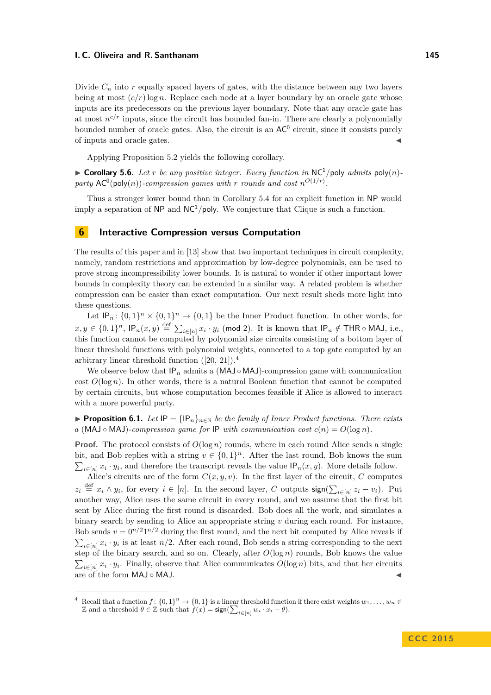Divide  $C_n$  into  $r$  equally spaced layers of gates, with the distance between any two layers being at most  $(c/r)$  log *n*. Replace each node at a layer boundary by an oracle gate whose inputs are its predecessors on the previous layer boundary. Note that any oracle gate has at most  $n^{c/r}$  inputs, since the circuit has bounded fan-in. There are clearly a polynomially bounded number of oracle gates. Also, the circuit is an  $AC^0$  circuit, since it consists purely of inputs and oracle gates. J

Applying Proposition [5.2](#page-19-1) yields the following corollary.

 $\triangleright$  **Corollary 5.6.** *Let r be any positive integer. Every function in* NC<sup>1</sup>/poly *admits* poly(*n*)party  $AC^0(\text{poly}(n))$ -compression games with *r* rounds and cost  $n^{O(1/r)}$ .

Thus a stronger lower bound than in Corollary [5.4](#page-20-1) for an explicit function in NP would imply a separation of  $NP$  and  $NC<sup>1</sup>/poly$ . We conjecture that Clique is such a function.

### <span id="page-21-0"></span>**6 Interactive Compression versus Computation**

The results of this paper and in [\[13\]](#page-28-5) show that two important techniques in circuit complexity, namely, random restrictions and approximation by low-degree polynomials, can be used to prove strong incompressibility lower bounds. It is natural to wonder if other important lower bounds in complexity theory can be extended in a similar way. A related problem is whether compression can be easier than exact computation. Our next result sheds more light into these questions.

Let  $IP_n: \{0,1\}^n \times \{0,1\}^n \to \{0,1\}$  be the Inner Product function. In other words, for  $x, y \in \{0,1\}^n$ ,  $\mathsf{IP}_n(x, y) \stackrel{\text{def}}{=} \sum_{i \in [n]} x_i \cdot y_i \pmod{2}$ . It is known that  $\mathsf{IP}_n \notin \mathsf{THR} \circ \mathsf{MAJ}$ , i.e., this function cannot be computed by polynomial size circuits consisting of a bottom layer of linear threshold functions with polynomial weights, connected to a top gate computed by an arbitrary linear threshold function  $([20, 21])$  $([20, 21])$  $([20, 21])$  $([20, 21])$ .<sup>[4](#page-21-1)</sup>

We observe below that  $IP_n$  admits a (MAJ  $\circ$  MAJ)-compression game with communication cost  $O(\log n)$ . In other words, there is a natural Boolean function that cannot be computed by certain circuits, but whose computation becomes feasible if Alice is allowed to interact with a more powerful party.

**► Proposition 6.1.** *Let*  $IP = {IP_n}_{n \in \mathbb{N}}$  *be the family of Inner Product functions. There exists*  $a \text{ (MAJ} \circ \text{MAJ})$ *-compression game for* IP *with communication cost*  $c(n) = O(\log n)$ *.* 

**Proof.** The protocol consists of  $O(\log n)$  rounds, where in each round Alice sends a single bit, and Bob replies with a string  $v \in \{0,1\}^n$ . After the last round, Bob knows the sum  $\sum_{i\in[n]} x_i \cdot y_i$ , and therefore the transcript reveals the value  $IP_n(x, y)$ . More details follow.

Alice's circuits are of the form  $C(x, y, v)$ . In the first layer of the circuit, C computes  $z_i \stackrel{\text{def}}{=} x_i \wedge y_i$ , for every  $i \in [n]$ . In the second layer, *C* outputs  $\text{sign}(\sum_{i \in [n]} z_i - v_i)$ . Put another way, Alice uses the same circuit in every round, and we assume that the first bit sent by Alice during the first round is discarded. Bob does all the work, and simulates a binary search by sending to Alice an appropriate string *v* during each round. For instance, Bob sends  $v = 0^{n/2} 1^{n/2}$  during the first round, and the next bit computed by Alice reveals if  $\sum_{i\in[n]} x_i \cdot y_i$  is at least *n/*2. After each round, Bob sends a string corresponding to the next step of the binary search, and so on. Clearly, after  $O(\log n)$  rounds, Bob knows the value  $\sum_{i\in[n]} x_i \cdot y_i$ . Finally, observe that Alice communicates  $O(\log n)$  bits, and that her circuits are of the form MAJ ∘ MAJ.

<span id="page-21-1"></span><sup>&</sup>lt;sup>4</sup> Recall that a function  $f: \{0,1\}^n \to \{0,1\}$  is a linear threshold function if there exist weights  $w_1, \ldots, w_n \in$ Z and a threshold  $\theta \in \mathbb{Z}$  such that  $f(x) = \text{sign}(\sum_{i \in [n]} w_i \cdot x_i - \theta)$ .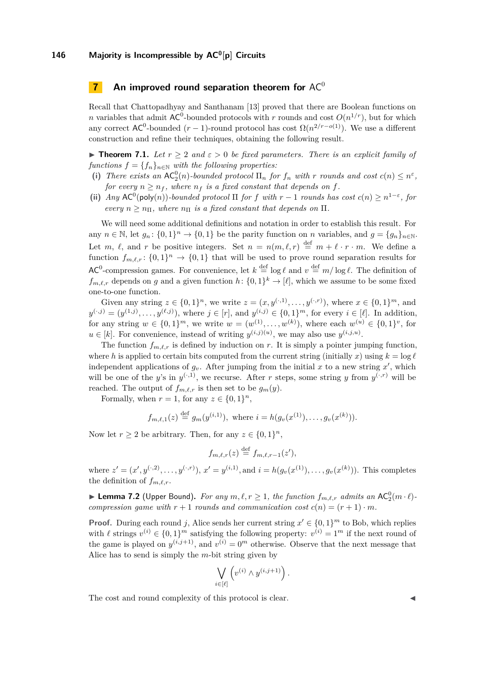### <span id="page-22-0"></span>**7** An improved round separation theorem for AC<sup>0</sup>

Recall that Chattopadhyay and Santhanam [\[13\]](#page-28-5) proved that there are Boolean functions on *n* variables that admit  $AC^0$ -bounded protocols with *r* rounds and cost  $O(n^{1/r})$ , but for which any correct  $AC^0$ -bounded  $(r-1)$ -round protocol has cost  $\Omega(n^{2/r-o(1)})$ . We use a different construction and refine their techniques, obtaining the following result.

<span id="page-22-1"></span>**Figure 7.1.** Let  $r > 2$  and  $\varepsilon > 0$  be fixed parameters. There is an explicit family of *functions*  $f = \{f_n\}_{n \in \mathbb{N}}$  *with the following properties:* 

- (i) There exists an  $AC_2^0(n)$ -bounded protocol  $\Pi_n$  for  $f_n$  with  $r$  rounds and cost  $c(n) \leq n^{\varepsilon}$ , *for every*  $n \geq n_f$ , where  $n_f$  *is a fixed constant that depends on f.*
- (ii) *Any*  $AC^0(\text{poly}(n))$ *-bounded protocol*  $\Pi$  *for*  $f$  *with*  $r 1$  *rounds has cost*  $c(n) \geq n^{1-\epsilon}$ , for *every*  $n \geq n_{\Pi}$ *, where*  $n_{\Pi}$  *is a fixed constant that depends on*  $\Pi$ *.*

We will need some additional definitions and notation in order to establish this result. For any  $n \in \mathbb{N}$ , let  $g_n: \{0,1\}^n \to \{0,1\}$  be the parity function on *n* variables, and  $g = \{g_n\}_{n \in \mathbb{N}}$ . Let *m*,  $\ell$ , and *r* be positive integers. Set  $n = n(m, \ell, r) \stackrel{\text{def}}{=} m + \ell \cdot r \cdot m$ . We define a function  $f_{m,\ell,r}$ :  $\{0,1\}$ <sup>n</sup>  $\rightarrow$   $\{0,1\}$  that will be used to prove round separation results for AC<sup>0</sup>-compression games. For convenience, let  $k \stackrel{\text{def}}{=} \log \ell$  and  $v \stackrel{\text{def}}{=} m / \log \ell$ . The definition of  $f_{m,\ell,r}$  depends on *g* and a given function  $h: \{0,1\}^k \to [\ell],$  which we assume to be some fixed one-to-one function.

Given any string  $z \in \{0,1\}^n$ , we write  $z = (x, y^{(\cdot,1)}, \ldots, y^{(\cdot,r)})$ , where  $x \in \{0,1\}^m$ , and  $y^{(.j)} = (y^{(1,j)}, \ldots, y^{(\ell,j)})$ , where  $j \in [r]$ , and  $y^{(i,j)} \in \{0,1\}^m$ , for every  $i \in [\ell]$ . In addition, for any string  $w \in \{0,1\}^m$ , we write  $w = (w^{(1)}, \ldots, w^{(k)})$ , where each  $w^{(u)} \in \{0,1\}^v$ , for  $u \in [k]$ . For convenience, instead of writing  $y^{(i,j)(u)}$ , we may also use  $y^{(i,j,u)}$ .

The function  $f_{m,\ell,r}$  is defined by induction on *r*. It is simply a pointer jumping function, where *h* is applied to certain bits computed from the current string (initially *x*) using  $k = \log \ell$ independent applications of  $g_v$ . After jumping from the initial x to a new string  $x'$ , which will be one of the *y*'s in  $y^{(\cdot,1)}$ , we recurse. After *r* steps, some string *y* from  $y^{(\cdot,r)}$  will be reached. The output of  $f_{m,\ell,r}$  is then set to be  $g_m(y)$ .

Formally, when  $r = 1$ , for any  $z \in \{0, 1\}^n$ ,

$$
f_{m,\ell,1}(z) \stackrel{\text{def}}{=} g_m(y^{(i,1)}), \text{ where } i = h(g_v(x^{(1)}), \ldots, g_v(x^{(k)})).
$$

Now let  $r \geq 2$  be arbitrary. Then, for any  $z \in \{0,1\}^n$ ,

$$
f_{m,\ell,r}(z) \stackrel{\text{def}}{=} f_{m,\ell,r-1}(z'),
$$

where  $z' = (x', y^{(\cdot, 2)}, \dots, y^{(\cdot, r)}), x' = y^{(i, 1)},$  and  $i = h(g_v(x^{(1)}), \dots, g_v(x^{(k)})).$  This completes the definition of  $f_{m,\ell,r}$ .

<span id="page-22-2"></span>**Example 7.2** (Upper Bound). For any  $m, \ell, r \ge 1$ , the function  $f_{m,\ell,r}$  admits an AC<sub>2</sub> $(m \cdot \ell)$ *compression game with*  $r + 1$  *rounds and communication cost*  $c(n) = (r + 1) \cdot m$ *.* 

**Proof.** During each round *j*, Alice sends her current string  $x' \in \{0,1\}^m$  to Bob, which replies with  $\ell$  strings  $v^{(i)} \in \{0,1\}^m$  satisfying the following property:  $v^{(i)} = 1^m$  if the next round of the game is played on  $y^{(i,j+1)}$ , and  $v^{(i)} = 0^m$  otherwise. Observe that the next message that Alice has to send is simply the *m*-bit string given by

$$
\bigvee_{i \in [\ell]} \left( v^{(i)} \wedge y^{(i,j+1)} \right).
$$

The cost and round complexity of this protocol is clear.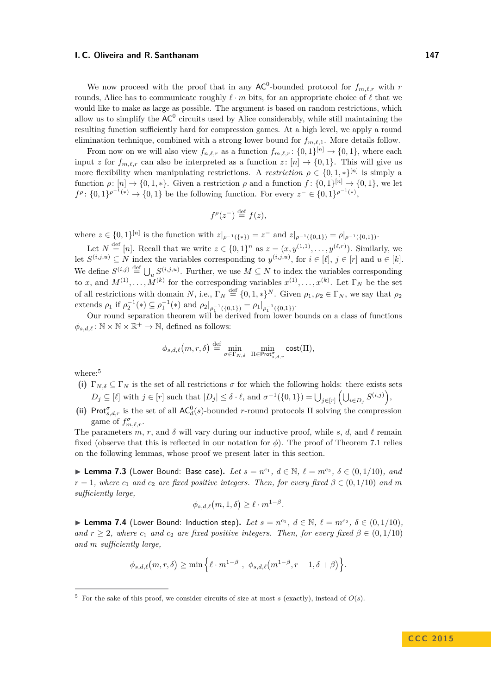We now proceed with the proof that in any  $AC^0$ -bounded protocol for  $f_{m,\ell,r}$  with  $r$ rounds, Alice has to communicate roughly  $\ell \cdot m$  bits, for an appropriate choice of  $\ell$  that we would like to make as large as possible. The argument is based on random restrictions, which allow us to simplify the  $AC^0$  circuits used by Alice considerably, while still maintaining the resulting function sufficiently hard for compression games. At a high level, we apply a round elimination technique, combined with a strong lower bound for  $f_{m,\ell,1}$ . More details follow.

From now on we will also view  $f_{n,\ell,r}$  as a function  $f_{m,\ell,r}$ :  $\{0,1\}^{[n]} \to \{0,1\}$ , where each input *z* for  $f_{m,\ell,r}$  can also be interpreted as a function *z* :  $[n] \rightarrow \{0,1\}$ . This will give us more flexibility when manipulating restrictions. A *restriction*  $\rho \in \{0, 1, *\}^{[n]}$  is simply a function  $\rho: [n] \to \{0, 1, *\}$ . Given a restriction  $\rho$  and a function  $f: \{0, 1\}^{[n]} \to \{0, 1\}$ , we let *f*<sup>ρ</sup>: {0*,* 1}<sup>*ρ*<sup>-1</sup><sup>(∗)</sup> → {0*,* 1} be the following function. For every *z*<sup>−</sup> ∈ {0*,* 1}<sup>*ρ*<sup>-1</sup><sup>(∗)</sup>,</sup></sup>

$$
f^{\rho}(z^-) \stackrel{\text{def}}{=} f(z),
$$

where  $z \in \{0,1\}^{[n]}$  is the function with  $z|_{\rho^{-1}(\{*\})} = z^-$  and  $z|_{\rho^{-1}(\{0,1\})} = \rho|_{\rho^{-1}(\{0,1\})}$ .

Let  $N \stackrel{\text{def}}{=} [n]$ . Recall that we write  $z \in \{0,1\}^n$  as  $z = (x, y^{(1,1)}, \ldots, y^{(\ell,r)})$ . Similarly, we let  $S^{(i,j,u)} \subseteq N$  index the variables corresponding to  $y^{(i,j,u)}$ , for  $i \in [\ell], j \in [r]$  and  $u \in [k]$ . We define  $S^{(i,j)} \stackrel{\text{def}}{=} \bigcup_u S^{(i,j,u)}$ . Further, we use  $M \subseteq N$  to index the variables corresponding to *x*, and  $M^{(1)}, \ldots, M^{(k)}$  for the corresponding variables  $x^{(1)}, \ldots, x^{(k)}$ . Let  $\Gamma_N$  be the set of all restrictions with domain *N*, i.e.,  $\Gamma_N \stackrel{\text{def}}{=} \{0, 1, *\}^N$ . Given  $\rho_1, \rho_2 \in \Gamma_N$ , we say that  $\rho_2$ extends  $\rho_1$  if  $\rho_2^{-1}(*) \subseteq \rho_1^{-1}(*)$  and  $\rho_2|_{\rho_1^{-1}(\{0,1\})} = \rho_1|_{\rho_1^{-1}(\{0,1\})}$ .

Our round separation theorem will be derived from lower bounds on a class of functions  $\phi_{s,d,\ell} \colon \mathbb{N} \times \mathbb{N} \times \mathbb{R}^+ \to \mathbb{N}$ , defined as follows:

$$
\phi_{s,d,\ell}\big(m,r,\delta\big) \stackrel{\text{def}}{=} \min_{\sigma \in \Gamma_{N,\delta}} \ \min_{\Pi \in \text{Prot}^{\sigma}_{s,d,r}} \text{cost}(\Pi),
$$

where:<sup>[5](#page-23-0)</sup>

- (i)  $\Gamma_{N,\delta} \subseteq \Gamma_N$  is the set of all restrictions  $\sigma$  for which the following holds: there exists sets  $D_j \subseteq [\ell]$  with  $j \in [r]$  such that  $|D_j| \leq \delta \cdot \ell$ , and  $\sigma^{-1}(\{0,1\}) = \bigcup_{j \in [r]} (\bigcup_{i \in D_j} S^{(i,j)})$ ,
- (ii) Prot<sup>*σ*</sup><sub>*s,d,r*</sub> is the set of all  $AC_d^0(s)$ -bounded *r*-round protocols  $\Pi$  solving the compression game of  $f_{m,\ell,r}^{\sigma}$ .

The parameters  $m, r$ , and  $\delta$  will vary during our inductive proof, while  $s, d$ , and  $\ell$  remain fixed (observe that this is reflected in our notation for  $\phi$ ). The proof of Theorem [7.1](#page-22-1) relies on the following lemmas, whose proof we present later in this section.

<span id="page-23-1"></span>▶ **Lemma 7.3** (Lower Bound: Base case). Let  $s = n^{c_1}$ ,  $d \in \mathbb{N}$ ,  $\ell = m^{c_2}$ ,  $\delta \in (0, 1/10)$ , and  $r = 1$ *, where*  $c_1$  *and*  $c_2$  *are fixed positive integers. Then, for every fixed*  $\beta \in (0, 1/10)$  *and m sufficiently large,*

$$
\phi_{s,d,\ell}(m,1,\delta) \geq \ell \cdot m^{1-\beta}.
$$

<span id="page-23-2"></span>▶ **Lemma 7.4** (Lower Bound: Induction step). Let  $s = n^{c_1}$ ,  $d \in \mathbb{N}$ ,  $\ell = m^{c_2}$ ,  $\delta \in (0, 1/10)$ , *and*  $r \geq 2$ , where  $c_1$  *and*  $c_2$  *are fixed positive integers. Then, for every fixed*  $\beta \in (0,1/10)$ *and m sufficiently large,*

$$
\phi_{s,d,\ell}(m,r,\delta) \geq \min\left\{\ell \cdot m^{1-\beta} , \phi_{s,d,\ell}(m^{1-\beta},r-1,\delta+\beta)\right\}.
$$

<span id="page-23-0"></span> $5$  For the sake of this proof, we consider circuits of size at most *s* (exactly), instead of  $O(s)$ .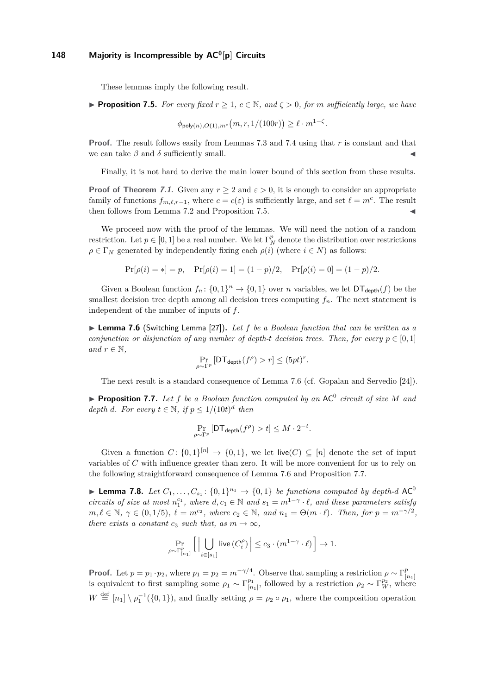These lemmas imply the following result.

<span id="page-24-0"></span>**Proposition 7.5.** For every fixed  $r \geq 1$ ,  $c \in \mathbb{N}$ , and  $\zeta > 0$ , for *m* sufficiently large, we have

 $\phi_{\mathsf{poly}(n),O(1),m^c}(m,r,1/(100r)) \geq \ell \cdot m^{1-\zeta}.$ 

**Proof.** The result follows easily from Lemmas [7.3](#page-23-1) and [7.4](#page-23-2) using that *r* is constant and that we can take  $\beta$  and  $\delta$  sufficiently small.

Finally, it is not hard to derive the main lower bound of this section from these results.

**Proof of Theorem [7.1](#page-22-1).** Given any  $r \geq 2$  and  $\varepsilon > 0$ , it is enough to consider an appropriate family of functions  $f_{m,\ell,r-1}$ , where  $c = c(\varepsilon)$  is sufficiently large, and set  $\ell = m^c$ . The result then follows from Lemma [7.2](#page-22-2) and Proposition [7.5.](#page-24-0)

We proceed now with the proof of the lemmas. We will need the notion of a random restriction. Let  $p \in [0, 1]$  be a real number. We let  $\Gamma_N^p$  denote the distribution over restrictions  $\rho \in \Gamma_N$  generated by independently fixing each  $\rho(i)$  (where  $i \in N$ ) as follows:

$$
Pr[\rho(i) = *] = p
$$
,  $Pr[\rho(i) = 1] = (1 - p)/2$ ,  $Pr[\rho(i) = 0] = (1 - p)/2$ .

Given a Boolean function  $f_n: \{0,1\}^n \to \{0,1\}$  over *n* variables, we let  $DT_{\text{depth}}(f)$  be the smallest decision tree depth among all decision trees computing  $f_n$ . The next statement is independent of the number of inputs of *f*.

<span id="page-24-1"></span>I **Lemma 7.6** (Switching Lemma [\[27\]](#page-29-1))**.** *Let f be a Boolean function that can be written as a conjunction or disjunction of any number of depth-t decision trees. Then, for every*  $p \in [0, 1]$ *and*  $r \in \mathbb{N}$ .

$$
\Pr_{\rho \sim \Gamma^p} \left[ \mathsf{DT}_{\mathsf{depth}}(f^{\rho}) > r \right] \leq (5pt)^r.
$$

The next result is a standard consequence of Lemma [7.6](#page-24-1) (cf. Gopalan and Servedio [\[24\]](#page-28-18)).

<span id="page-24-2"></span> $\blacktriangleright$  **Proposition 7.7.** Let f be a Boolean function computed by an AC<sup>0</sup> circuit of size M and *depth d. For every*  $t \in \mathbb{N}$ *, if*  $p \leq 1/(10t)^d$  *then* 

$$
\Pr_{\rho \sim \Gamma^p} \left[ \mathsf{DT}_{\mathsf{depth}}(f^{\rho}) > t \right] \leq M \cdot 2^{-t}.
$$

Given a function  $C: \{0,1\}^{[n]} \to \{0,1\}$ , we let live $(C) \subseteq [n]$  denote the set of input variables of *C* with influence greater than zero. It will be more convenient for us to rely on the following straightforward consequence of Lemma [7.6](#page-24-1) and Proposition [7.7.](#page-24-2)

<span id="page-24-3"></span>**Lemma 7.8.** *Let*  $C_1, \ldots, C_{s_1}: \{0, 1\}^{n_1} \rightarrow \{0, 1\}$  *be functions computed by depth-d*  $AC^0$ *circuits of size at most*  $n_1^{c_1}$ , where  $d, c_1 \in \mathbb{N}$  and  $s_1 = m^{1-\gamma} \cdot \ell$ , and these parameters satisfy  $m, \ell \in \mathbb{N}, \ \gamma \in (0, 1/5), \ \ell = m^{c_2}, \ where \ c_2 \in \mathbb{N}, \ and \ n_1 = \Theta(m \cdot \ell).$  Then, for  $p = m^{-\gamma/2}$ , *there exists a constant c*<sub>3</sub> *such that, as*  $m \rightarrow \infty$ *,* 

$$
\Pr_{\rho \sim \Gamma^p_{[n_1]}} \Big[ \, \Big| \bigcup_{i \in [s_1]} \mathsf{live}\left(C^{\rho}_i\right) \Big| \leq c_3 \cdot (m^{1-\gamma} \cdot \ell) \, \Big] \to 1.
$$

**Proof.** Let  $p = p_1 \cdot p_2$ , where  $p_1 = p_2 = m^{-\gamma/4}$ . Observe that sampling a restriction  $\rho \sim \Gamma_{\alpha}^p$ is equivalent to first sampling some  $\rho_1 \sim \Gamma_{[n_1]}^{p_1}$ , followed by a restriction  $\rho_2 \sim \Gamma_{[n]}^{p_2}$ , where  $\binom{p_1}{[n_1]}$ , followed by a restriction  $\rho_2 \sim \Gamma_W^{p_2}$ , where  $W \stackrel{\text{def}}{=} [n_1] \setminus \rho_1^{-1}(\{0,1\}),$  and finally setting  $\rho = \rho_2 \circ \rho_1$ , where the composition operation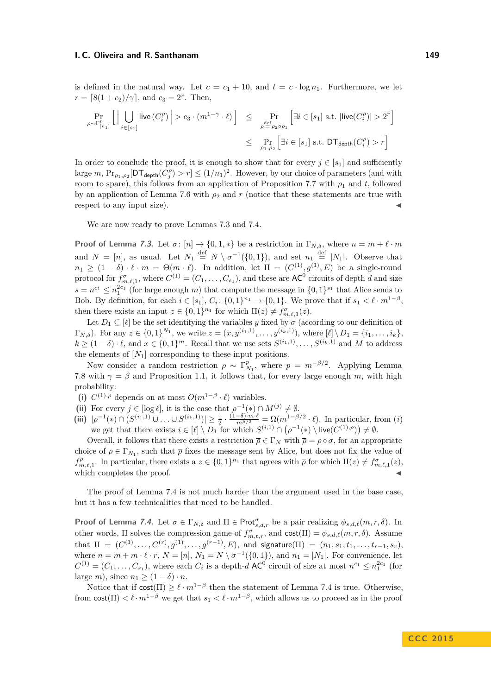is defined in the natural way. Let  $c = c_1 + 10$ , and  $t = c \cdot \log n_1$ . Furthermore, we let  $r = \lfloor 8(1 + c_2)/\gamma \rfloor$ , and  $c_3 = 2^r$ . Then,

<span id="page-25-0"></span>
$$
\Pr_{\rho \sim \Gamma^p_{[n_1]}} \left[ \Big| \bigcup_{i \in [s_1]} \mathsf{live}\left(C^{\rho}_i\right) \Big| > c_3 \cdot (m^{1-\gamma} \cdot \ell) \right] \le \Pr_{\rho \triangleq \rho_2 \circ \rho_1} \left[ \exists i \in [s_1] \text{ s.t. } |\mathsf{live}\left(C^{\rho}_i\right)| > 2^r \right] \le \Pr_{\rho_1, \rho_2} \left[ \exists i \in [s_1] \text{ s.t. } \mathsf{DT}_{\mathsf{depth}}\left(C^{\rho}_i\right) > r \right]
$$

In order to conclude the proof, it is enough to show that for every  $j \in [s_1]$  and sufficiently  $\text{large } m, \text{Pr}_{\rho_1, \rho_2}[\text{DT}_{\text{depth}}(C_j^{\rho}) > r] \leq (1/n_1)^2.$  However, by our choice of parameters (and with room to spare), this follows from an application of Proposition [7.7](#page-24-2) with  $\rho_1$  and *t*, followed by an application of Lemma [7.6](#page-24-1) with  $\rho_2$  and *r* (notice that these statements are true with respect to any input size).

We are now ready to prove Lemmas [7.3](#page-23-1) and [7.4.](#page-23-2)

**Proof of Lemma [7.3](#page-23-1).** Let  $\sigma$ :  $[n] \rightarrow \{0, 1, *\}$  be a restriction in  $\Gamma_{N,\delta}$ , where  $n = m + \ell \cdot m$ and  $N = [n]$ , as usual. Let  $N_1 \stackrel{\text{def}}{=} N \setminus \sigma^{-1}(\{0,1\})$ , and set  $n_1 \stackrel{\text{def}}{=} |N_1|$ . Observe that  $n_1 \geq (1 - \delta) \cdot \ell \cdot m = \Theta(m \cdot \ell)$ . In addition, let  $\Pi = (C^{(1)}, g^{(1)}, E)$  be a single-round protocol for  $f_{m,\ell,1}^{\sigma}$ , where  $C^{(1)} = (C_1, \ldots, C_{s_1})$ , and these are  $AC^0$  circuits of depth *d* and size  $s = n^{c_1} \leq n_1^{2c_1}$  (for large enough *m*) that compute the message in  $\{0,1\}^{s_1}$  that Alice sends to Bob. By definition, for each  $i \in [s_1], C_i: \{0,1\}^{n_1} \to \{0,1\}$ . We prove that if  $s_1 < \ell \cdot m^{1-\beta}$ , then there exists an input  $z \in \{0,1\}^{n_1}$  for which  $\Pi(z) \neq f_{m,\ell,1}^{\sigma}(z)$ .

Let  $D_1 \subseteq [\ell]$  be the set identifying the variables *y* fixed by  $\sigma$  (according to our definition of  $\Gamma_{N,\delta}$ ). For any  $z \in \{0,1\}^{N_1}$ , we write  $z = (x, y^{(i_1,1)}, \ldots, y^{(i_k,1)})$ , where  $[\ell] \setminus D_1 = \{i_1, \ldots, i_k\},$  $k \geq (1 - \delta) \cdot \ell$ , and  $x \in \{0, 1\}^m$ . Recall that we use sets  $S^{(i_1, 1)}, \ldots, S^{(i_k, 1)}$  and *M* to address the elements of  $[N_1]$  corresponding to these input positions.

Now consider a random restriction  $\rho \sim \Gamma_{N_1}^p$ , where  $p = m^{-\beta/2}$ . Applying Lemma [7.8](#page-24-3) with  $\gamma = \beta$  and Proposition [1.1,](#page-30-1) it follows that, for every large enough *m*, with high probability:

- (i)  $C^{(1),\rho}$  depends on at most  $O(m^{1-\beta} \cdot \ell)$  variables.
- (ii) For every  $j \in [\log \ell]$ , it is the case that  $\rho^{-1}(*) \cap M^{(j)} \neq \emptyset$ .
- (iii)  $|\rho^{-1}(*) \cap (S^{(i_1,1)} \cup ... \cup S^{(i_k,1)})| \geq \frac{1}{2} \cdot \frac{(1-\delta) \cdot m \cdot \ell}{m^{\beta/2}} = \Omega(m^{1-\beta/2} \cdot \ell)$ . In particular, from (i) we get that there exists  $i \in [\ell] \setminus D_1$  for which  $S^{(i,1)} \cap (\rho^{-1}(*) \setminus \text{live}(C^{(1),\rho})) \neq \emptyset$ .

Overall, it follows that there exists a restriction  $\overline{\rho} \in \Gamma_N$  with  $\overline{\rho} = \rho \circ \sigma$ , for an appropriate choice of  $\rho \in \Gamma_{N_1}$ , such that  $\overline{\rho}$  fixes the message sent by Alice, but does not fix the value of  $f_{m,\ell,1}^{\overline{\rho}}$ . In particular, there exists a  $z \in \{0,1\}^{n_1}$  that agrees with  $\overline{\rho}$  for which  $\Pi(z) \neq f_{m,\ell,1}^{\sigma}(z)$ , which completes the proof.

The proof of Lemma [7.4](#page-23-2) is not much harder than the argument used in the base case, but it has a few technicalities that need to be handled.

**Proof of Lemma [7.4](#page-23-2).** Let  $\sigma \in \Gamma_{N,\delta}$  and  $\Pi \in \text{Prot}_{s,d,r}^{\sigma}$  be a pair realizing  $\phi_{s,d,\ell}(m,r,\delta)$ . In other words,  $\Pi$  solves the compression game of  $f_{m,\ell,r}^{\sigma}$ , and  $\text{cost}(\Pi) = \phi_{s,d,\ell}(m, r, \delta)$ . Assume  $\text{that} \ \Pi \ = \ (C^{(1)}, \ldots, C^{(r)}, g^{(1)}, \ldots, g^{(r-1)}, E), \ \text{and} \ \ \text{signature}(\Pi) \ = \ (n_1, s_1, t_1, \ldots, t_{r-1}, s_r),$ where  $n = m + m \cdot \ell \cdot r$ ,  $N = [n]$ ,  $N_1 = N \setminus \sigma^{-1}(\{0, 1\})$ , and  $n_1 = |N_1|$ . For convenience, let  $C^{(1)} = (C_1, \ldots, C_{s_1})$ , where each  $C_i$  is a depth-*d* AC<sup>0</sup> circuit of size at most  $n^{c_1} \leq n_1^{2c_1}$  (for large *m*), since  $n_1 \geq (1 - \delta) \cdot n$ .

Notice that if  $cost(\Pi) \geq \ell \cdot m^{1-\beta}$  then the statement of Lemma [7.4](#page-23-2) is true. Otherwise, from  $\text{cost}(\Pi) < \ell \cdot m^{1-\beta}$  we get that  $s_1 < \ell \cdot m^{1-\beta}$ , which allows us to proceed as in the proof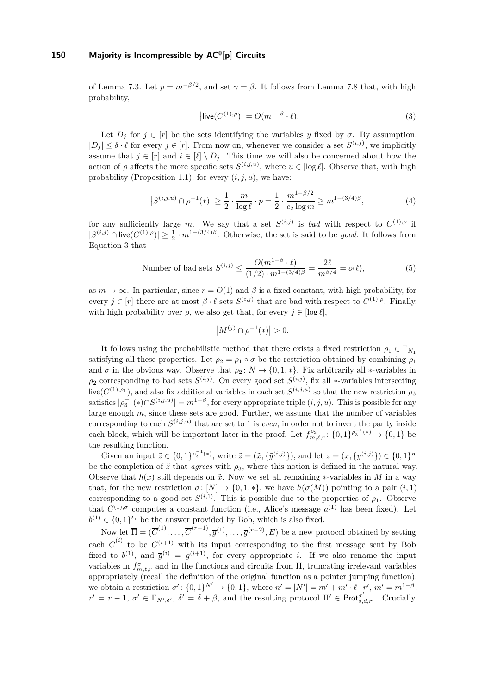of Lemma [7.3.](#page-23-1) Let  $p = m^{-\beta/2}$ , and set  $\gamma = \beta$ . It follows from Lemma [7.8](#page-24-3) that, with high probability,

$$
\left| \text{live}(C^{(1),\rho}) \right| = O(m^{1-\beta} \cdot \ell). \tag{3}
$$

Let  $D_j$  for  $j \in [r]$  be the sets identifying the variables *y* fixed by  $\sigma$ . By assumption,  $|D_j| \leq \delta \cdot \ell$  for every  $j \in [r]$ . From now on, whenever we consider a set  $S^{(i,j)}$ , we implicitly assume that  $j \in [r]$  and  $i \in [\ell] \setminus D_j$ . This time we will also be concerned about how the action of  $\rho$  affects the more specific sets  $S^{(i,j,u)}$ , where  $u \in [\log \ell]$ . Observe that, with high probability (Proposition [1.1\)](#page-30-1), for every  $(i, j, u)$ , we have:

$$
|S^{(i,j,u)} \cap \rho^{-1}(\ast)| \ge \frac{1}{2} \cdot \frac{m}{\log \ell} \cdot p = \frac{1}{2} \cdot \frac{m^{1-\beta/2}}{c_2 \log m} \ge m^{1-(3/4)\beta},\tag{4}
$$

for any sufficiently large *m*. We say that a set  $S^{(i,j)}$  is *bad* with respect to  $C^{(1),\rho}$  if  $|S^{(i,j)} \cap \text{live}(C^{(1),\rho})| \geq \frac{1}{2} \cdot m^{1-(3/4)\beta}$ . Otherwise, the set is said to be *good*. It follows from Equation [3](#page-25-0) that

Number of bad sets 
$$
S^{(i,j)} \le \frac{O(m^{1-\beta} \cdot \ell)}{(1/2) \cdot m^{1-(3/4)\beta}} = \frac{2\ell}{m^{\beta/4}} = o(\ell),
$$
 (5)

as  $m \to \infty$ . In particular, since  $r = O(1)$  and  $\beta$  is a fixed constant, with high probability, for every  $j \in [r]$  there are at most  $\beta \cdot \ell$  sets  $S^{(i,j)}$  that are bad with respect to  $C^{(1),\rho}$ . Finally, with high probability over  $\rho$ , we also get that, for every  $j \in [\log \ell]$ ,

$$
|M^{(j)} \cap \rho^{-1}(*)| > 0.
$$

It follows using the probabilistic method that there exists a fixed restriction  $\rho_1 \in \Gamma_{N_1}$ satisfying all these properties. Let  $\rho_2 = \rho_1 \circ \sigma$  be the restriction obtained by combining  $\rho_1$ and  $\sigma$  in the obvious way. Observe that  $\rho_2: N \to \{0, 1, *\}$ . Fix arbitrarily all \*-variables in  $\rho_2$  corresponding to bad sets  $S^{(i,j)}$ . On every good set  $S^{(i,j)}$ , fix all ∗-variables intersecting live( $C^{(1),\rho_1}$ ), and also fix additional variables in each set  $S^{(i,j,u)}$  so that the new restriction  $\rho_3$ satisfies  $|\rho_3^{-1}(*) \cap S^{(i,j,u)}| = m^{1-\beta}$ , for every appropriate triple  $(i, j, u)$ . This is possible for any large enough *m*, since these sets are good. Further, we assume that the number of variables corresponding to each  $S^{(i,j,u)}$  that are set to 1 is *even*, in order not to invert the parity inside each block, which will be important later in the proof. Let  $f_{m,\ell,r}^{\rho_3}$ :  $\{0,1\}^{\rho_3^{-1}(*)} \to \{0,1\}$  be the resulting function.

Given an input  $\tilde{z} \in \{0,1\}^{p_3^{-1}(*)}$ , write  $\tilde{z} = (\tilde{x}, {\tilde{y}}^{(i,j)})$ , and let  $z = (x, {y}^{(i,j)}) \in \{0,1\}^n$ be the completion of  $\tilde{z}$  that *agrees* with  $\rho_3$ , where this notion is defined in the natural way. Observe that  $h(x)$  still depends on  $\tilde{x}$ . Now we set all remaining  $\ast$ -variables in M in a way that, for the new restriction  $\overline{\sigma}$ :  $[N] \rightarrow \{0, 1, *\}$ , we have  $h(\overline{\sigma}(M))$  pointing to a pair  $(i, 1)$ corresponding to a good set  $S^{(i,1)}$ . This is possible due to the properties of  $\rho_1$ . Observe that  $C^{(1),\overline{\sigma}}$  computes a constant function (i.e., Alice's message  $a^{(1)}$  has been fixed). Let  $b^{(1)} \in \{0,1\}^{t_1}$  be the answer provided by Bob, which is also fixed.

Now let  $\overline{\Pi} = (\overline{C}^{(1)}, \ldots, \overline{C}^{(r-1)}, \overline{g}^{(1)}, \ldots, \overline{g}^{(r-2)}, E)$  be a new protocol obtained by setting each  $\overline{C}^{(i)}$  to be  $C^{(i+1)}$  with its input corresponding to the first message sent by Bob fixed to  $b^{(1)}$ , and  $\overline{g}^{(i)} = g^{(i+1)}$ , for every appropriate *i*. If we also rename the input variables in  $f_{m,\ell,r}^{\overline{\sigma}}$  and in the functions and circuits from  $\overline{\Pi}$ , truncating irrelevant variables appropriately (recall the definition of the original function as a pointer jumping function), we obtain a restriction  $\sigma' : \{0,1\}^{N'} \to \{0,1\}$ , where  $n' = |N'| = m' + m' \cdot \ell \cdot r'$ ,  $m' = m^{1-\beta}$ ,  $r' = r - 1, \sigma' \in \Gamma_{N',\delta'}$ ,  $\delta' = \delta + \beta$ , and the resulting protocol  $\Pi' \in \mathsf{Prot}_{s,d,r'}^{\sigma'}$ . Crucially,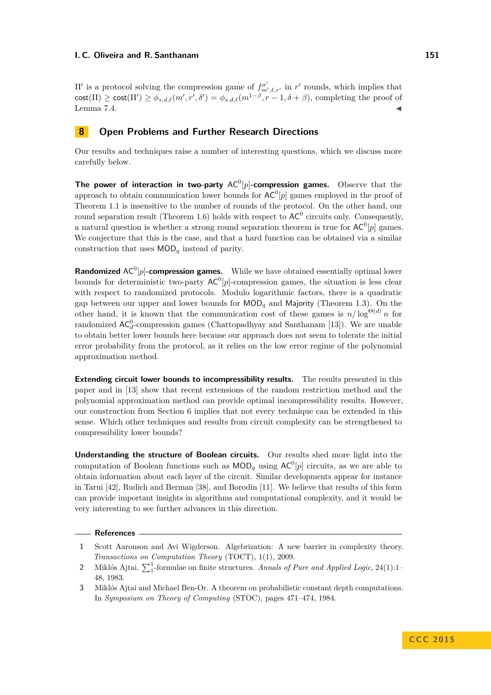II' is a protocol solving the compression game of  $f_{m',\ell,r'}^{\sigma'}$  in *r'* rounds, which implies that  $\text{cost}(\Pi) \geq \text{cost}(\Pi') \geq \phi_{s,d,\ell}(m',r',\delta') = \phi_{s,d,\ell}(m^{1-\beta},r-1,\delta+\beta)$ , completing the proof of Lemma [7.4.](#page-23-2)  $\blacksquare$ 

### <span id="page-27-2"></span>**8 Open Problems and Further Research Directions**

Our results and techniques raise a number of interesting questions, which we discuss more carefully below.

**The power of interaction in two-party**  $AC^0[p]$ -compression games. Observe that the approach to obtain communication lower bounds for  $AC^0[p]$  games employed in the proof of Theorem [1.1](#page-3-0) is insensitive to the number of rounds of the protocol. On the other hand, our round separation result (Theorem [1.6\)](#page-5-0) holds with respect to  $AC^0$  circuits only. Consequently, a natural question is whether a strong round separation theorem is true for  $AC^0[p]$  games. We conjecture that this is the case, and that a hard function can be obtained via a similar construction that uses MOD*<sup>q</sup>* instead of parity.

**Randomized** AC<sup>0</sup>[p]-**compression games.** While we have obtained essentially optimal lower bounds for deterministic two-party  $AC^0[p]$ -compression games, the situation is less clear with respect to randomized protocols. Modulo logarithmic factors, there is a quadratic gap between our upper and lower bounds for  $\mathsf{MOD}_q$  and  $\mathsf{Majority}$  (Theorem [1.3\)](#page-4-0). On the other hand, it is known that the communication cost of these games is  $n/\log^{\Theta(d)} n$  for randomized  $AC_d^0$ -compression games (Chattopadhyay and Santhanam [\[13\]](#page-28-5)). We are unable to obtain better lower bounds here because our approach does not seem to tolerate the initial error probability from the protocol, as it relies on the low error regime of the polynomial approximation method.

**Extending circuit lower bounds to incompressibility results.** The results presented in this paper and in [\[13\]](#page-28-5) show that recent extensions of the random restriction method and the polynomial approximation method can provide optimal incompressibility results. However, our construction from Section [6](#page-21-0) implies that not every technique can be extended in this sense. Which other techniques and results from circuit complexity can be strengthened to compressibility lower bounds?

**Understanding the structure of Boolean circuits.** Our results shed more light into the computation of Boolean functions such as  $\text{MOD}_q$  using  $\text{AC}^0[p]$  circuits, as we are able to obtain information about each layer of the circuit. Similar developments appear for instance in Tarui [\[42\]](#page-29-21), Rudich and Berman [\[38\]](#page-29-22), and Borodin [\[11\]](#page-28-19). We believe that results of this form can provide important insights in algorithms and computational complexity, and it would be very interesting to see further advances in this direction.

#### **References**

- <span id="page-27-1"></span>**1** Scott Aaronson and Avi Wigderson. Algebrization: A new barrier in complexity theory. *Transactions on Computation Theory* (TOCT), 1(1), 2009.
- <span id="page-27-0"></span>2 Miklós Ajtai.  $\sum_{1}^{1}$ -formulae on finite structures. *Annals of Pure and Applied Logic*, 24(1):1– 48, 1983.
- <span id="page-27-3"></span>**3** Miklós Ajtai and Michael Ben-Or. A theorem on probabilistic constant depth computations. In *Symposium on Theory of Computing* (STOC), pages 471–474, 1984.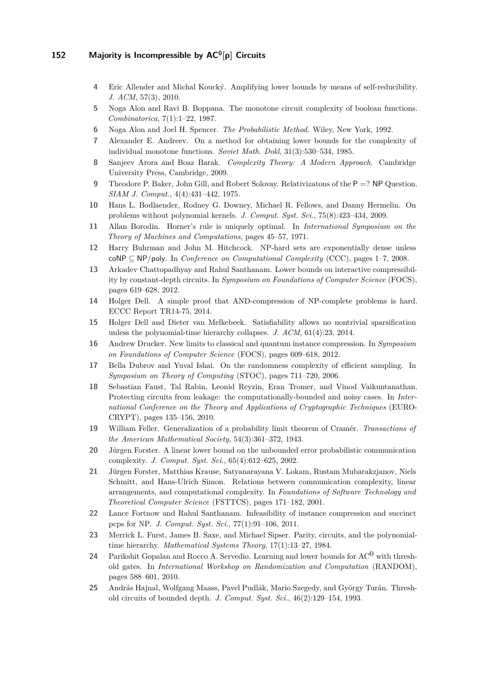- <span id="page-28-4"></span>**4** Eric Allender and Michal Koucký. Amplifying lower bounds by means of self-reducibility. *J. ACM*, 57(3), 2010.
- <span id="page-28-2"></span>**5** Noga Alon and Ravi B. Boppana. The monotone circuit complexity of boolean functions. *Combinatorica*, 7(1):1–22, 1987.
- <span id="page-28-20"></span>**6** Noga Alon and Joel H. Spencer. *The Probabilistic Method*. Wiley, New York, 1992.
- <span id="page-28-1"></span>**7** Alexander E. Andreev. On a method for obtaining lower bounds for the complexity of individual monotone functions. *Soviet Math. Dokl*, 31(3):530–534, 1985.
- <span id="page-28-15"></span>**8** Sanjeev Arora and Boaz Barak. *Complexity Theory: A Modern Approach*. Cambridge University Press, Cambridge, 2009.
- <span id="page-28-3"></span>**9** Theodore P. Baker, John Gill, and Robert Solovay. Relativizatons of the P =? NP Question. *SIAM J. Comput.*, 4(4):431–442, 1975.
- <span id="page-28-8"></span>**10** Hans L. Bodlaender, Rodney G. Downey, Michael R. Fellows, and Danny Hermelin. On problems without polynomial kernels. *J. Comput. Syst. Sci.*, 75(8):423–434, 2009.
- <span id="page-28-19"></span>**11** Allan Borodin. Horner's rule is uniquely optimal. In *International Symposium on the Theory of Machines and Computations*, pages 45–57, 1971.
- <span id="page-28-10"></span>**12** Harry Buhrman and John M. Hitchcock. NP-hard sets are exponentially dense unless coNP ⊆ NP*/*poly. In *Conference on Computational Complexity* (CCC), pages 1–7, 2008.
- <span id="page-28-5"></span>**13** Arkadev Chattopadhyay and Rahul Santhanam. Lower bounds on interactive compressibility by constant-depth circuits. In *Symposium on Foundations of Computer Science* (FOCS), pages 619–628, 2012.
- <span id="page-28-12"></span>**14** Holger Dell. A simple proof that AND-compression of NP-complete problems is hard. ECCC Report TR14-75, 2014.
- <span id="page-28-13"></span>**15** Holger Dell and Dieter van Melkebeek. Satisfiability allows no nontrivial sparsification unless the polynomial-time hierarchy collapses. *J. ACM*, 61(4):23, 2014.
- <span id="page-28-11"></span>**16** Andrew Drucker. New limits to classical and quantum instance compression. In *Symposium on Foundations of Computer Science* (FOCS), pages 609–618, 2012.
- <span id="page-28-6"></span>**17** Bella Dubrov and Yuval Ishai. On the randomness complexity of efficient sampling. In *Symposium on Theory of Computing* (STOC), pages 711–720, 2006.
- <span id="page-28-7"></span>**18** Sebastian Faust, Tal Rabin, Leonid Reyzin, Eran Tromer, and Vinod Vaikuntanathan. Protecting circuits from leakage: the computationally-bounded and noisy cases. In *International Conference on the Theory and Applications of Cryptographic Techniques* (EURO-CRYPT), pages 135–156, 2010.
- <span id="page-28-21"></span>**19** William Feller. Generalization of a probability limit theorem of Cramér. *Transactions of the American Mathematical Society*, 54(3):361–372, 1943.
- <span id="page-28-16"></span>**20** Jürgen Forster. A linear lower bound on the unbounded error probabilistic communication complexity. *J. Comput. Syst. Sci.*, 65(4):612–625, 2002.
- <span id="page-28-17"></span>**21** Jürgen Forster, Matthias Krause, Satyanarayana V. Lokam, Rustam Mubarakzjanov, Niels Schmitt, and Hans-Ulrich Simon. Relations between communication complexity, linear arrangements, and computational complexity. In *Foundations of Software Technology and Theoretical Computer Science* (FSTTCS), pages 171–182, 2001.
- <span id="page-28-9"></span>**22** Lance Fortnow and Rahul Santhanam. Infeasibility of instance compression and succinct pcps for NP. *J. Comput. Syst. Sci.*, 77(1):91–106, 2011.
- <span id="page-28-0"></span>**23** Merrick L. Furst, James B. Saxe, and Michael Sipser. Parity, circuits, and the polynomialtime hierarchy. *Mathematical Systems Theory*, 17(1):13–27, 1984.
- <span id="page-28-18"></span>**24** Parikshit Gopalan and Rocco A. Servedio. Learning and lower bounds for AC0 with threshold gates. In *International Workshop on Randomization and Computation* (RANDOM), pages 588–601, 2010.
- <span id="page-28-14"></span>**25** András Hajnal, Wolfgang Maass, Pavel Pudlák, Mario Szegedy, and György Turán. Threshold circuits of bounded depth. *J. Comput. Syst. Sci.*, 46(2):129–154, 1993.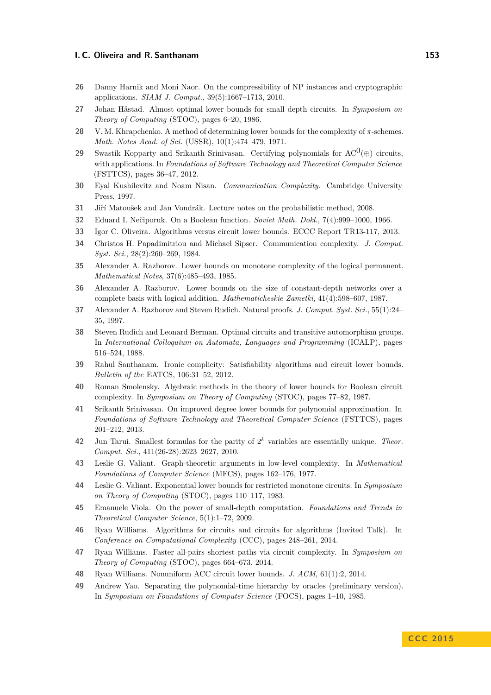- <span id="page-29-18"></span>**26** Danny Harnik and Moni Naor. On the compressibility of NP instances and cryptographic applications. *SIAM J. Comput.*, 39(5):1667–1713, 2010.
- <span id="page-29-1"></span>**27** Johan Håstad. Almost optimal lower bounds for small depth circuits. In *Symposium on Theory of Computing* (STOC), pages 6–20, 1986.
- <span id="page-29-13"></span>**28** V. M. Khrapchenko. A method of determining lower bounds for the complexity of *π*-schemes. *Math. Notes Acad. of Sci.* (USSR), 10(1):474–479, 1971.
- <span id="page-29-19"></span>**29** Swastik Kopparty and Srikanth Srinivasan. Certifying polynomials for  $AC^0(\oplus)$  circuits, with applications. In *Foundations of Software Technology and Theoretical Computer Science* (FSTTCS), pages 36–47, 2012.
- <span id="page-29-14"></span>**30** Eyal Kushilevitz and Noam Nisan. *Communication Complexity*. Cambridge University Press, 1997.
- <span id="page-29-23"></span>**31** Jiří Matoušek and Jan Vondrák. Lecture notes on the probabilistic method, 2008.
- <span id="page-29-12"></span>**32** Eduard I. Nečiporuk. On a Boolean function. *Soviet Math. Dokl.*, 7(4):999–1000, 1966.
- <span id="page-29-5"></span>**33** Igor C. Oliveira. Algorithms versus circuit lower bounds. ECCC Report TR13-117, 2013.
- <span id="page-29-20"></span>**34** Christos H. Papadimitriou and Michael Sipser. Communication complexity. *J. Comput. Syst. Sci.*, 28(2):260–269, 1984.
- <span id="page-29-2"></span>**35** Alexander A. Razborov. Lower bounds on monotone complexity of the logical permanent. *Mathematical Notes*, 37(6):485–493, 1985.
- <span id="page-29-15"></span>**36** Alexander A. Razborov. Lower bounds on the size of constant-depth networks over a complete basis with logical addition. *Mathematicheskie Zametki*, 41(4):598–607, 1987.
- <span id="page-29-3"></span>**37** Alexander A. Razborov and Steven Rudich. Natural proofs. *J. Comput. Syst. Sci.*, 55(1):24– 35, 1997.
- <span id="page-29-22"></span>**38** Steven Rudich and Leonard Berman. Optimal circuits and transitive automorphism groups. In *International Colloquium on Automata, Languages and Programming* (ICALP), pages 516–524, 1988.
- <span id="page-29-6"></span>**39** Rahul Santhanam. Ironic complicity: Satisfiability algorithms and circuit lower bounds. *Bulletin of the* EATCS, 106:31–52, 2012.
- <span id="page-29-16"></span>**40** Roman Smolensky. Algebraic methods in the theory of lower bounds for Boolean circuit complexity. In *Symposium on Theory of Computing* (STOC), pages 77–82, 1987.
- <span id="page-29-17"></span>**41** Srikanth Srinivasan. On improved degree lower bounds for polynomial approximation. In *Foundations of Software Technology and Theoretical Computer Science* (FSTTCS), pages 201–212, 2013.
- <span id="page-29-21"></span>**42** Jun Tarui. Smallest formulas for the parity of 2 *<sup>k</sup>* variables are essentially unique. *Theor. Comput. Sci.*, 411(26-28):2623–2627, 2010.
- <span id="page-29-8"></span>**43** Leslie G. Valiant. Graph-theoretic arguments in low-level complexity. In *Mathematical Foundations of Computer Science* (MFCS), pages 162–176, 1977.
- <span id="page-29-9"></span>**44** Leslie G. Valiant. Exponential lower bounds for restricted monotone circuits. In *Symposium on Theory of Computing* (STOC), pages 110–117, 1983.
- <span id="page-29-10"></span>**45** Emanuele Viola. On the power of small-depth computation. *Foundations and Trends in Theoretical Computer Science*, 5(1):1–72, 2009.
- <span id="page-29-4"></span>**46** Ryan Williams. Algorithms for circuits and circuits for algorithms (Invited Talk). In *Conference on Computational Complexity* (CCC), pages 248–261, 2014.
- <span id="page-29-7"></span>**47** Ryan Williams. Faster all-pairs shortest paths via circuit complexity. In *Symposium on Theory of Computing* (STOC), pages 664–673, 2014.
- <span id="page-29-11"></span>**48** Ryan Williams. Nonuniform ACC circuit lower bounds. *J. ACM*, 61(1):2, 2014.
- <span id="page-29-0"></span>**49** Andrew Yao. Separating the polynomial-time hierarchy by oracles (preliminary version). In *Symposium on Foundations of Computer Science* (FOCS), pages 1–10, 1985.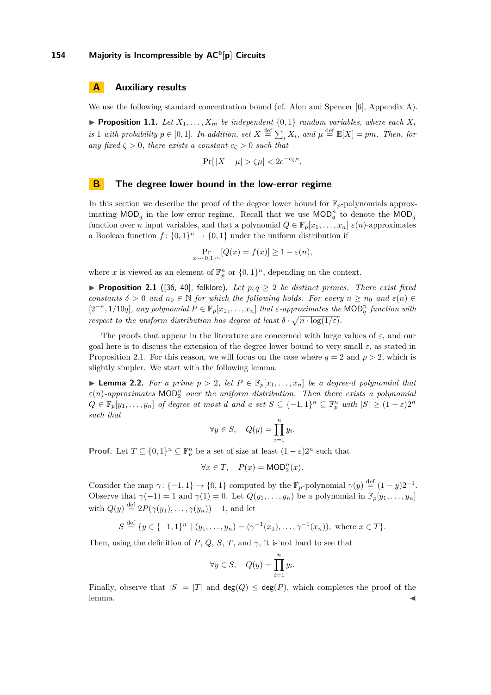### **A Auxiliary results**

We use the following standard concentration bound (cf. Alon and Spencer [\[6\]](#page-28-20), Appendix A).

<span id="page-30-1"></span>**Proposition 1.1.** *Let*  $X_1, \ldots, X_m$  *be independent*  $\{0, 1\}$  *random variables, where each*  $X_i$ *is* 1 *with probability*  $p \in [0, 1]$ *. In addition, set*  $X \stackrel{\text{def}}{=} \sum_i X_i$ *, and*  $\mu \stackrel{\text{def}}{=} \mathbb{E}[X] = pm$ *. Then, for any fixed*  $\zeta > 0$ *, there exists a constant*  $c_{\zeta} > 0$  *such that* 

$$
\Pr[|X - \mu| > \zeta \mu] < 2e^{-c_\zeta \mu}.
$$

### <span id="page-30-0"></span>**B The degree lower bound in the low-error regime**

In this section we describe the proof of the degree lower bound for  $\mathbb{F}_p$ -polynomials approximating  $\text{MOD}_q$  in the low error regime. Recall that we use  $\text{MOD}_q^n$  to denote the  $\text{MOD}_q$ function over *n* input variables, and that a polynomial  $Q \in \mathbb{F}_p[x_1, \ldots, x_n] \in (n)$ -approximates a Boolean function  $f: \{0,1\}^n \to \{0,1\}$  under the uniform distribution if

$$
\Pr_{x \sim \{0,1\}^n} [Q(x) = f(x)] \ge 1 - \varepsilon(n),
$$

where x is viewed as an element of  $\mathbb{F}_p^n$  or  $\{0,1\}^n$ , depending on the context.

<span id="page-30-2"></span>**Proposition 2.1** ([\[36,](#page-29-15) [40\]](#page-29-16), folklore). Let  $p, q \geq 2$  be distinct primes. There exist fixed *constants*  $\delta > 0$  *and*  $n_0 \in \mathbb{N}$  *for which the following holds. For every*  $n \geq n_0$  *and*  $\varepsilon(n) \in$  $[2^{-n}, 1/10q]$ , any polynomial  $P \in \mathbb{F}_p[x_1, \ldots, x_n]$  that  $\varepsilon$ -approximates the MOD<sub> $q$ </sub><sup>n</sup> function with *respect to the uniform distribution has degree at least*  $\delta \cdot \sqrt{n \cdot \log(1/\varepsilon)}$ .

The proofs that appear in the literature are concerned with large values of  $\varepsilon$ , and our goal here is to discuss the extension of the degree lower bound to very small  $\varepsilon$ , as stated in Proposition [2.1.](#page-30-2) For this reason, we will focus on the case where  $q = 2$  and  $p > 2$ , which is slightly simpler. We start with the following lemma.

<span id="page-30-3"></span>▶ **Lemma 2.2.** *For a prime*  $p > 2$ *, let*  $P ∈ \mathbb{F}_p[x_1, \ldots, x_n]$  *be a degree-d polynomial that*  $\varepsilon(n)$ -approximates  $\mathsf{MOD}_2^n$  *over the uniform distribution. Then there exists a polynomial*  $Q \in \mathbb{F}_p[y_1, \ldots, y_n]$  of degree at most *d* and a set  $S \subseteq \{-1,1\}^n \subseteq \mathbb{F}_p^n$  with  $|S| \geq (1-\varepsilon)2^n$ *such that*

$$
\forall y \in S, \quad Q(y) = \prod_{i=1}^{n} y_i.
$$

**Proof.** Let  $T \subseteq \{0,1\}^n \subseteq \mathbb{F}_p^n$  be a set of size at least  $(1-\varepsilon)2^n$  such that

$$
\forall x \in T, \quad P(x) = \mathsf{MOD}_2^n(x).
$$

Consider the map  $\gamma$ : {-1, 1}  $\rightarrow$  {0, 1} computed by the  $\mathbb{F}_p$ -polynomial  $\gamma(y) \stackrel{\text{def}}{=} (1 - y)2^{-1}$ . Observe that  $\gamma(-1) = 1$  and  $\gamma(1) = 0$ . Let  $Q(y_1, \ldots, y_n)$  be a polynomial in  $\mathbb{F}_p[y_1, \ldots, y_n]$ with  $Q(y) \stackrel{\text{def}}{=} 2P(\gamma(y_1), \ldots, \gamma(y_n)) - 1$ , and let

$$
S \stackrel{\text{def}}{=} \{ y \in \{-1, 1\}^n \mid (y_1, \dots, y_n) = (\gamma^{-1}(x_1), \dots, \gamma^{-1}(x_n)), \text{ where } x \in T \}.
$$

Then, using the definition of *P*, *Q*, *S*, *T*, and  $\gamma$ , it is not hard to see that

$$
\forall y \in S, \quad Q(y) = \prod_{i=1}^{n} y_i.
$$

Finally, observe that  $|S| = |T|$  and  $deg(Q) \leq deg(P)$ , which completes the proof of the  $l$ emma.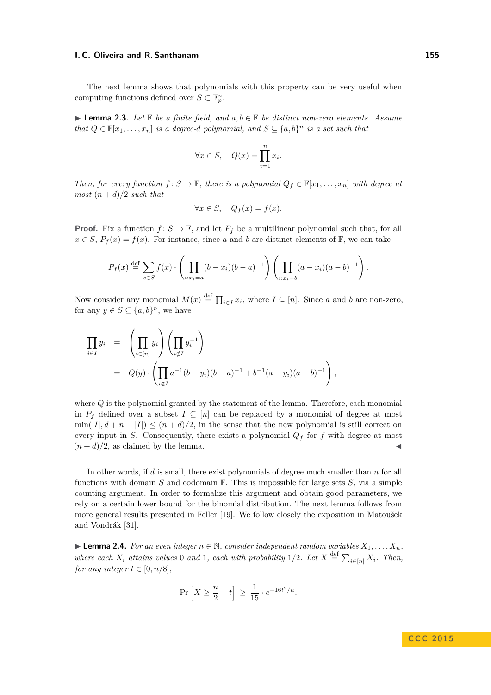The next lemma shows that polynomials with this property can be very useful when computing functions defined over  $S \subset \mathbb{F}_p^n$ .

<span id="page-31-0"></span>I **Lemma 2.3.** *Let* F *be a finite field, and a, b* ∈ F *be distinct non-zero elements. Assume that*  $Q \in \mathbb{F}[x_1, \ldots, x_n]$  *is a degree-d polynomial, and*  $S \subseteq \{a, b\}^n$  *is a set such that* 

$$
\forall x \in S, \quad Q(x) = \prod_{i=1}^{n} x_i.
$$

*Then, for every function*  $f: S \to \mathbb{F}$ *, there is a polynomial*  $Q_f \in \mathbb{F}[x_1, \ldots, x_n]$  *with degree at most*  $(n+d)/2$  *such that* 

$$
\forall x \in S, \quad Q_f(x) = f(x).
$$

**Proof.** Fix a function  $f: S \to \mathbb{F}$ , and let  $P_f$  be a multilinear polynomial such that, for all  $x \in S$ ,  $P_f(x) = f(x)$ . For instance, since *a* and *b* are distinct elements of F, we can take

$$
P_f(x) \stackrel{\text{def}}{=} \sum_{x \in S} f(x) \cdot \left( \prod_{i: x_i = a} (b - x_i)(b - a)^{-1} \right) \left( \prod_{i: x_i = b} (a - x_i)(a - b)^{-1} \right).
$$

Now consider any monomial  $M(x) \stackrel{\text{def}}{=} \prod_{i \in I} x_i$ , where  $I \subseteq [n]$ . Since *a* and *b* are non-zero, for any  $y \in S \subseteq \{a, b\}^n$ , we have

<span id="page-31-1"></span>
$$
\prod_{i \in I} y_i = \left( \prod_{i \in [n]} y_i \right) \left( \prod_{i \notin I} y_i^{-1} \right)
$$
\n
$$
= Q(y) \cdot \left( \prod_{i \notin I} a^{-1} (b - y_i)(b - a)^{-1} + b^{-1} (a - y_i)(a - b)^{-1} \right),
$$

where *Q* is the polynomial granted by the statement of the lemma. Therefore, each monomial in  $P_f$  defined over a subset  $I \subseteq [n]$  can be replaced by a monomial of degree at most  $\min(|I|, d + n - |I|) \leq (n + d)/2$ , in the sense that the new polynomial is still correct on every input in *S*. Consequently, there exists a polynomial  $Q_f$  for  $f$  with degree at most  $(n+d)/2$ , as claimed by the lemma.

In other words, if *d* is small, there exist polynomials of degree much smaller than *n* for all functions with domain *S* and codomain F. This is impossible for large sets *S*, via a simple counting argument. In order to formalize this argument and obtain good parameters, we rely on a certain lower bound for the binomial distribution. The next lemma follows from more general results presented in Feller [\[19\]](#page-28-21). We follow closely the exposition in Matoušek and Vondrák [\[31\]](#page-29-23).

<span id="page-31-2"></span>▶ **Lemma 2.4.** *For an even integer*  $n \in \mathbb{N}$ *, consider independent random variables*  $X_1, \ldots, X_n$ *, where each*  $X_i$  *attains values* 0 *and* 1, *each with probability* 1/2*. Let*  $X \stackrel{\text{def}}{=} \sum_{i \in [n]} X_i$ *. Then, for any integer*  $t \in [0, n/8]$ *,* 

$$
\Pr\left[X \ge \frac{n}{2} + t\right] \ge \frac{1}{15} \cdot e^{-16t^2/n}.
$$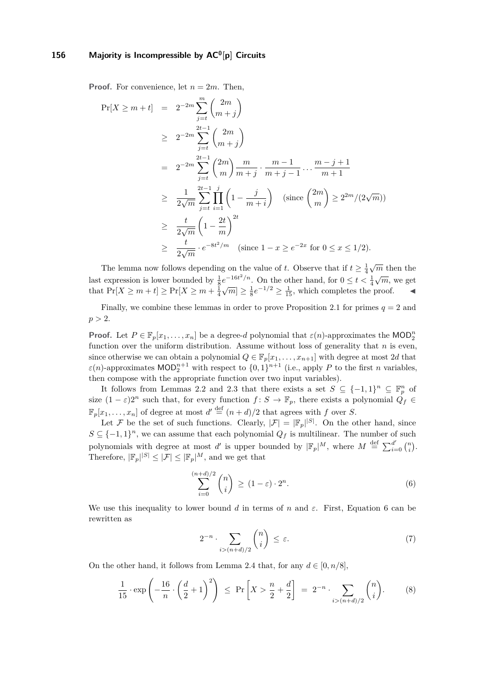**Proof.** For convenience, let  $n = 2m$ . Then,

$$
\Pr[X \ge m+t] = 2^{-2m} \sum_{j=t}^{m} {2m \choose m+j}
$$
  
\n
$$
\ge 2^{-2m} \sum_{j=t}^{2t-1} {2m \choose m+j}
$$
  
\n
$$
= 2^{-2m} \sum_{j=t}^{2t-1} {2m \choose m} \frac{m}{m+j} \cdot \frac{m-1}{m+j-1} \dots \frac{m-j+1}{m+1}
$$
  
\n
$$
\ge \frac{1}{2\sqrt{m}} \sum_{j=t}^{2t-1} \prod_{i=1}^{j} \left(1 - \frac{j}{m+i}\right) \text{ (since } {2m \choose m} \ge 2^{2m}/(2\sqrt{m}))
$$
  
\n
$$
\ge \frac{t}{2\sqrt{m}} \left(1 - \frac{2t}{m}\right)^{2t}
$$
  
\n
$$
\ge \frac{t}{2\sqrt{m}} \cdot e^{-8t^2/m} \text{ (since } 1 - x \ge e^{-2x} \text{ for } 0 \le x \le 1/2).
$$

The lemma now follows depending on the value of *t*. Observe that if  $t \geq \frac{1}{4}$  $\sqrt{m}$  then the last expression is lower bounded by  $\frac{1}{8}e^{-16t^2/n}$ . On the other hand, for  $0 \le t < \frac{1}{4}$  $\sqrt{m}$ , we get that  $Pr[X \ge m + t] \ge Pr[X \ge m + \frac{1}{4}]$  $\sqrt{m}$   $\geq \frac{1}{8}e^{-1/2} \geq \frac{1}{15}$ , which completes the proof.

Finally, we combine these lemmas in order to prove Proposition [2.1](#page-30-2) for primes  $q = 2$  and  $p > 2$ .

**Proof.** Let  $P \in \mathbb{F}_p[x_1, \ldots, x_n]$  be a degree-*d* polynomial that  $\varepsilon(n)$ -approximates the MOD<sup>n</sup><sub>2</sub> function over the uniform distribution. Assume without loss of generality that *n* is even, since otherwise we can obtain a polynomial  $Q \in \mathbb{F}_p[x_1, \ldots, x_{n+1}]$  with degree at most 2*d* that  $\varepsilon(n)$ -approximates  $\text{MOD}_2^{n+1}$  with respect to  $\{0,1\}^{n+1}$  (i.e., apply *P* to the first *n* variables, then compose with the appropriate function over two input variables).

It follows from Lemmas [2.2](#page-30-3) and [2.3](#page-31-0) that there exists a set  $S \subseteq \{-1,1\}^n \subseteq \mathbb{F}_p^n$  of size  $(1 - \varepsilon)2^n$  such that, for every function  $f: S \to \mathbb{F}_p$ , there exists a polynomial  $Q_f \in$  $\mathbb{F}_p[x_1,\ldots,x_n]$  of degree at most  $d' \stackrel{\text{def}}{=} (n+d)/2$  that agrees with  $f$  over  $S$ .

Let F be the set of such functions. Clearly,  $|\mathcal{F}| = |\mathbb{F}_p|^{|S|}$ . On the other hand, since  $S \subseteq \{-1,1\}^n$ , we can assume that each polynomial  $Q_f$  is multilinear. The number of such polynomials with degree at most *d'* is upper bounded by  $|\mathbb{F}_p|^M$ , where  $M \stackrel{\text{def}}{=} \sum_{i=0}^{d'} {n \choose i}$ . Therefore,  $|\mathbb{F}_p|^{|S|} \leq |\mathcal{F}| \leq |\mathbb{F}_p|^M$ , and we get that

$$
\sum_{i=0}^{(n+d)/2} \binom{n}{i} \ge (1-\varepsilon) \cdot 2^n. \tag{6}
$$

<span id="page-32-0"></span>We use this inequality to lower bound *d* in terms of *n* and  $\varepsilon$ . First, Equation [6](#page-31-1) can be rewritten as

<span id="page-32-1"></span>
$$
2^{-n} \cdot \sum_{i > (n+d)/2} \binom{n}{i} \le \varepsilon. \tag{7}
$$

On the other hand, it follows from Lemma [2.4](#page-31-2) that, for any  $d \in [0, n/8]$ ,

$$
\frac{1}{15} \cdot \exp\left(-\frac{16}{n} \cdot \left(\frac{d}{2} + 1\right)^2\right) \le \Pr\left[X > \frac{n}{2} + \frac{d}{2}\right] = 2^{-n} \cdot \sum_{i > (n+d)/2} \binom{n}{i}.
$$
 (8)